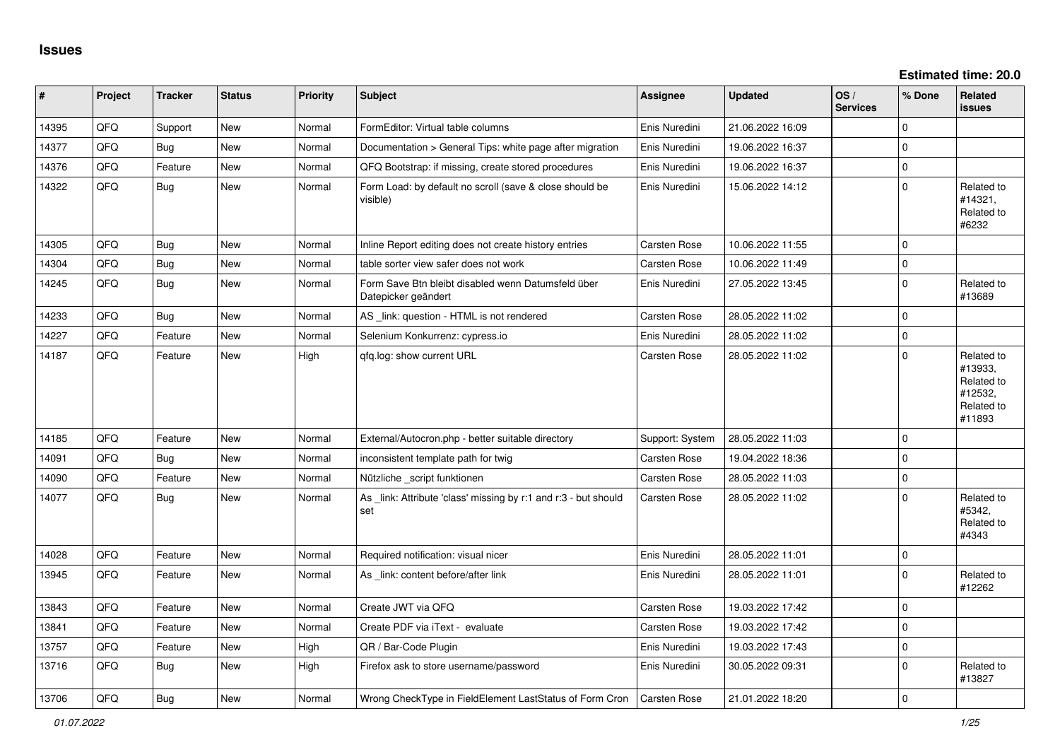| $\vert$ # | Project | <b>Tracker</b> | <b>Status</b> | Priority | <b>Subject</b>                                                            | Assignee            | <b>Updated</b>   | OS/<br><b>Services</b> | % Done         | Related<br><b>issues</b>                                               |
|-----------|---------|----------------|---------------|----------|---------------------------------------------------------------------------|---------------------|------------------|------------------------|----------------|------------------------------------------------------------------------|
| 14395     | QFQ     | Support        | New           | Normal   | FormEditor: Virtual table columns                                         | Enis Nuredini       | 21.06.2022 16:09 |                        | $\mathbf 0$    |                                                                        |
| 14377     | QFQ     | Bug            | <b>New</b>    | Normal   | Documentation > General Tips: white page after migration                  | Enis Nuredini       | 19.06.2022 16:37 |                        | $\Omega$       |                                                                        |
| 14376     | QFQ     | Feature        | New           | Normal   | QFQ Bootstrap: if missing, create stored procedures                       | Enis Nuredini       | 19.06.2022 16:37 |                        | $\mathbf 0$    |                                                                        |
| 14322     | QFQ     | Bug            | New           | Normal   | Form Load: by default no scroll (save & close should be<br>visible)       | Enis Nuredini       | 15.06.2022 14:12 |                        | $\Omega$       | Related to<br>#14321,<br>Related to<br>#6232                           |
| 14305     | QFQ     | Bug            | New           | Normal   | Inline Report editing does not create history entries                     | Carsten Rose        | 10.06.2022 11:55 |                        | $\overline{0}$ |                                                                        |
| 14304     | QFQ     | Bug            | New           | Normal   | table sorter view safer does not work                                     | Carsten Rose        | 10.06.2022 11:49 |                        | $\mathbf 0$    |                                                                        |
| 14245     | QFQ     | Bug            | New           | Normal   | Form Save Btn bleibt disabled wenn Datumsfeld über<br>Datepicker geändert | Enis Nuredini       | 27.05.2022 13:45 |                        | $\Omega$       | Related to<br>#13689                                                   |
| 14233     | QFQ     | Bug            | <b>New</b>    | Normal   | AS_link: question - HTML is not rendered                                  | Carsten Rose        | 28.05.2022 11:02 |                        | $\mathbf 0$    |                                                                        |
| 14227     | QFQ     | Feature        | New           | Normal   | Selenium Konkurrenz: cypress.io                                           | Enis Nuredini       | 28.05.2022 11:02 |                        | $\overline{0}$ |                                                                        |
| 14187     | QFQ     | Feature        | New           | High     | qfq.log: show current URL                                                 | <b>Carsten Rose</b> | 28.05.2022 11:02 |                        | $\Omega$       | Related to<br>#13933,<br>Related to<br>#12532,<br>Related to<br>#11893 |
| 14185     | QFQ     | Feature        | New           | Normal   | External/Autocron.php - better suitable directory                         | Support: System     | 28.05.2022 11:03 |                        | $\mathbf 0$    |                                                                        |
| 14091     | QFQ     | Bug            | <b>New</b>    | Normal   | inconsistent template path for twig                                       | Carsten Rose        | 19.04.2022 18:36 |                        | $\Omega$       |                                                                        |
| 14090     | QFQ     | Feature        | New           | Normal   | Nützliche _script funktionen                                              | Carsten Rose        | 28.05.2022 11:03 |                        | $\mathbf{0}$   |                                                                        |
| 14077     | QFQ     | Bug            | New           | Normal   | As _link: Attribute 'class' missing by r:1 and r:3 - but should<br>set    | <b>Carsten Rose</b> | 28.05.2022 11:02 |                        | $\Omega$       | Related to<br>#5342,<br>Related to<br>#4343                            |
| 14028     | QFQ     | Feature        | New           | Normal   | Required notification: visual nicer                                       | Enis Nuredini       | 28.05.2022 11:01 |                        | $\overline{0}$ |                                                                        |
| 13945     | QFQ     | Feature        | New           | Normal   | As link: content before/after link                                        | Enis Nuredini       | 28.05.2022 11:01 |                        | $\Omega$       | Related to<br>#12262                                                   |
| 13843     | QFQ     | Feature        | <b>New</b>    | Normal   | Create JWT via QFQ                                                        | Carsten Rose        | 19.03.2022 17:42 |                        | $\mathbf 0$    |                                                                        |
| 13841     | QFQ     | Feature        | New           | Normal   | Create PDF via iText - evaluate                                           | Carsten Rose        | 19.03.2022 17:42 |                        | $\Omega$       |                                                                        |
| 13757     | QFQ     | Feature        | New           | High     | QR / Bar-Code Plugin                                                      | Enis Nuredini       | 19.03.2022 17:43 |                        | $\Omega$       |                                                                        |
| 13716     | QFQ     | <b>Bug</b>     | New           | High     | Firefox ask to store username/password                                    | Enis Nuredini       | 30.05.2022 09:31 |                        | $\Omega$       | Related to<br>#13827                                                   |
| 13706     | QFQ     | Bug            | New           | Normal   | Wrong CheckType in FieldElement LastStatus of Form Cron   Carsten Rose    |                     | 21.01.2022 18:20 |                        | $\overline{0}$ |                                                                        |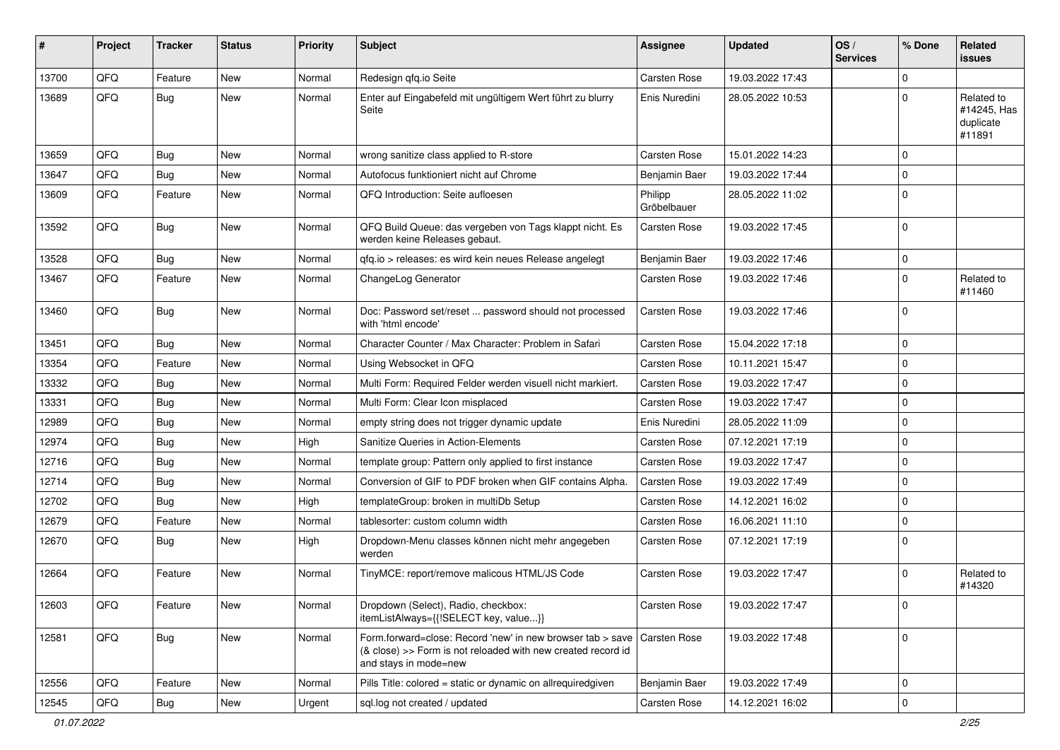| #     | Project | <b>Tracker</b> | <b>Status</b> | <b>Priority</b> | Subject                                                                                                                                             | <b>Assignee</b>        | <b>Updated</b>   | OS/<br><b>Services</b> | % Done       | Related<br><b>issues</b>                         |
|-------|---------|----------------|---------------|-----------------|-----------------------------------------------------------------------------------------------------------------------------------------------------|------------------------|------------------|------------------------|--------------|--------------------------------------------------|
| 13700 | QFQ     | Feature        | <b>New</b>    | Normal          | Redesign qfq.io Seite                                                                                                                               | Carsten Rose           | 19.03.2022 17:43 |                        | $\mathbf 0$  |                                                  |
| 13689 | QFQ     | Bug            | <b>New</b>    | Normal          | Enter auf Eingabefeld mit ungültigem Wert führt zu blurry<br>Seite                                                                                  | Enis Nuredini          | 28.05.2022 10:53 |                        | $\mathbf 0$  | Related to<br>#14245, Has<br>duplicate<br>#11891 |
| 13659 | QFQ     | Bug            | <b>New</b>    | Normal          | wrong sanitize class applied to R-store                                                                                                             | Carsten Rose           | 15.01.2022 14:23 |                        | $\mathbf 0$  |                                                  |
| 13647 | QFQ     | Bug            | <b>New</b>    | Normal          | Autofocus funktioniert nicht auf Chrome                                                                                                             | Benjamin Baer          | 19.03.2022 17:44 |                        | $\mathbf 0$  |                                                  |
| 13609 | QFQ     | Feature        | <b>New</b>    | Normal          | QFQ Introduction: Seite aufloesen                                                                                                                   | Philipp<br>Gröbelbauer | 28.05.2022 11:02 |                        | $\mathbf 0$  |                                                  |
| 13592 | QFQ     | Bug            | <b>New</b>    | Normal          | QFQ Build Queue: das vergeben von Tags klappt nicht. Es<br>werden keine Releases gebaut.                                                            | Carsten Rose           | 19.03.2022 17:45 |                        | $\mathbf 0$  |                                                  |
| 13528 | QFQ     | Bug            | <b>New</b>    | Normal          | qfq.io > releases: es wird kein neues Release angelegt                                                                                              | Benjamin Baer          | 19.03.2022 17:46 |                        | $\mathbf 0$  |                                                  |
| 13467 | QFQ     | Feature        | <b>New</b>    | Normal          | ChangeLog Generator                                                                                                                                 | Carsten Rose           | 19.03.2022 17:46 |                        | $\Omega$     | Related to<br>#11460                             |
| 13460 | QFQ     | Bug            | New           | Normal          | Doc: Password set/reset  password should not processed<br>with 'html encode'                                                                        | Carsten Rose           | 19.03.2022 17:46 |                        | $\mathbf{0}$ |                                                  |
| 13451 | QFQ     | Bug            | New           | Normal          | Character Counter / Max Character: Problem in Safari                                                                                                | Carsten Rose           | 15.04.2022 17:18 |                        | $\mathbf 0$  |                                                  |
| 13354 | QFQ     | Feature        | <b>New</b>    | Normal          | Using Websocket in QFQ                                                                                                                              | Carsten Rose           | 10.11.2021 15:47 |                        | $\mathbf 0$  |                                                  |
| 13332 | QFQ     | Bug            | <b>New</b>    | Normal          | Multi Form: Required Felder werden visuell nicht markiert.                                                                                          | Carsten Rose           | 19.03.2022 17:47 |                        | $\mathbf 0$  |                                                  |
| 13331 | QFQ     | Bug            | <b>New</b>    | Normal          | Multi Form: Clear Icon misplaced                                                                                                                    | Carsten Rose           | 19.03.2022 17:47 |                        | $\mathbf 0$  |                                                  |
| 12989 | QFQ     | Bug            | <b>New</b>    | Normal          | empty string does not trigger dynamic update                                                                                                        | Enis Nuredini          | 28.05.2022 11:09 |                        | $\mathbf 0$  |                                                  |
| 12974 | QFQ     | Bug            | <b>New</b>    | High            | Sanitize Queries in Action-Elements                                                                                                                 | Carsten Rose           | 07.12.2021 17:19 |                        | $\mathbf 0$  |                                                  |
| 12716 | QFQ     | Bug            | New           | Normal          | template group: Pattern only applied to first instance                                                                                              | Carsten Rose           | 19.03.2022 17:47 |                        | $\mathbf 0$  |                                                  |
| 12714 | QFQ     | Bug            | <b>New</b>    | Normal          | Conversion of GIF to PDF broken when GIF contains Alpha.                                                                                            | Carsten Rose           | 19.03.2022 17:49 |                        | $\mathbf 0$  |                                                  |
| 12702 | QFQ     | Bug            | <b>New</b>    | High            | templateGroup: broken in multiDb Setup                                                                                                              | Carsten Rose           | 14.12.2021 16:02 |                        | $\mathbf 0$  |                                                  |
| 12679 | QFQ     | Feature        | New           | Normal          | tablesorter: custom column width                                                                                                                    | Carsten Rose           | 16.06.2021 11:10 |                        | $\mathbf 0$  |                                                  |
| 12670 | QFQ     | Bug            | New           | High            | Dropdown-Menu classes können nicht mehr angegeben<br>werden                                                                                         | Carsten Rose           | 07.12.2021 17:19 |                        | $\mathbf 0$  |                                                  |
| 12664 | QFQ     | Feature        | <b>New</b>    | Normal          | TinyMCE: report/remove malicous HTML/JS Code                                                                                                        | <b>Carsten Rose</b>    | 19.03.2022 17:47 |                        | $\mathbf 0$  | Related to<br>#14320                             |
| 12603 | QFQ     | Feature        | <b>New</b>    | Normal          | Dropdown (Select), Radio, checkbox:<br>itemListAlways={{!SELECT key, value}}                                                                        | Carsten Rose           | 19.03.2022 17:47 |                        | 0            |                                                  |
| 12581 | QFQ     | <b>Bug</b>     | New           | Normal          | Form.forward=close: Record 'new' in new browser tab > save<br>(& close) >> Form is not reloaded with new created record id<br>and stays in mode=new | Carsten Rose           | 19.03.2022 17:48 |                        | $\mathbf 0$  |                                                  |
| 12556 | QFQ     | Feature        | New           | Normal          | Pills Title: colored = static or dynamic on allrequiredgiven                                                                                        | Benjamin Baer          | 19.03.2022 17:49 |                        | $\mathbf 0$  |                                                  |
| 12545 | QFQ     | <b>Bug</b>     | New           | Urgent          | sql.log not created / updated                                                                                                                       | Carsten Rose           | 14.12.2021 16:02 |                        | $\pmb{0}$    |                                                  |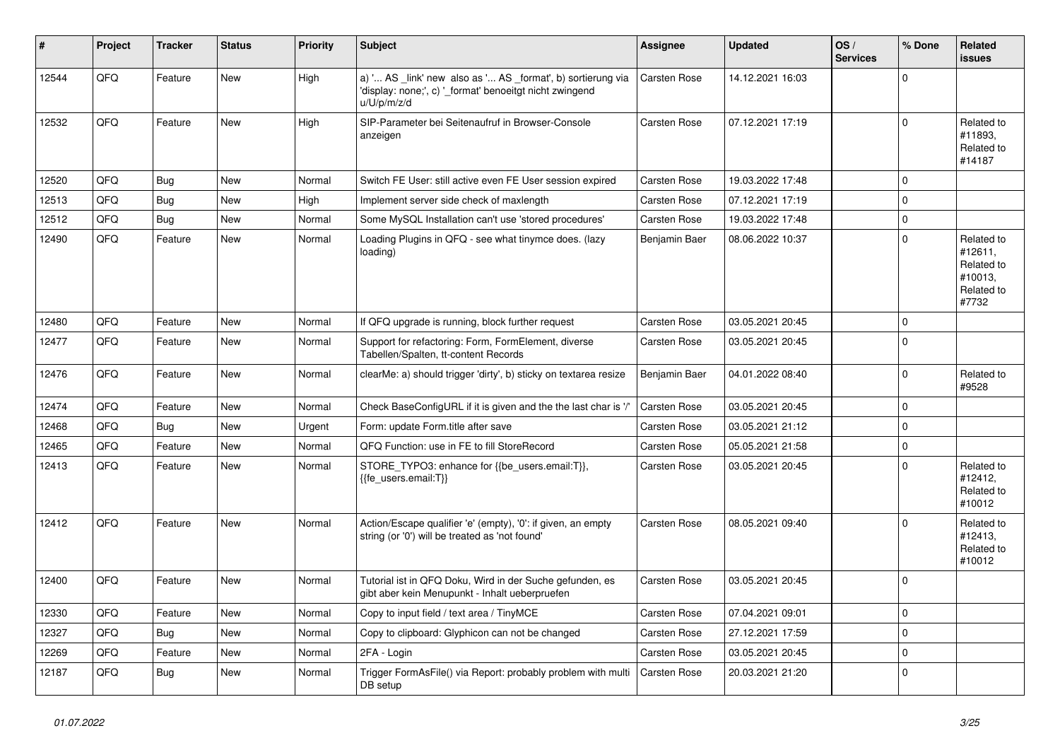| #     | Project | <b>Tracker</b> | <b>Status</b> | <b>Priority</b> | <b>Subject</b>                                                                                                                        | <b>Assignee</b> | <b>Updated</b>   | OS/<br><b>Services</b> | % Done       | Related<br><b>issues</b>                                              |
|-------|---------|----------------|---------------|-----------------|---------------------------------------------------------------------------------------------------------------------------------------|-----------------|------------------|------------------------|--------------|-----------------------------------------------------------------------|
| 12544 | QFQ     | Feature        | <b>New</b>    | High            | a) ' AS _link' new also as ' AS _format', b) sortierung via<br>'display: none;', c) '_format' benoeitgt nicht zwingend<br>u/U/p/m/z/d | Carsten Rose    | 14.12.2021 16:03 |                        | $\mathbf{0}$ |                                                                       |
| 12532 | QFQ     | Feature        | New           | High            | SIP-Parameter bei Seitenaufruf in Browser-Console<br>anzeigen                                                                         | Carsten Rose    | 07.12.2021 17:19 |                        | $\mathbf 0$  | Related to<br>#11893.<br>Related to<br>#14187                         |
| 12520 | QFQ     | Bug            | New           | Normal          | Switch FE User: still active even FE User session expired                                                                             | Carsten Rose    | 19.03.2022 17:48 |                        | $\mathbf 0$  |                                                                       |
| 12513 | QFQ     | Bug            | <b>New</b>    | High            | Implement server side check of maxlength                                                                                              | Carsten Rose    | 07.12.2021 17:19 |                        | $\mathbf{0}$ |                                                                       |
| 12512 | QFQ     | Bug            | <b>New</b>    | Normal          | Some MySQL Installation can't use 'stored procedures'                                                                                 | Carsten Rose    | 19.03.2022 17:48 |                        | $\mathbf{0}$ |                                                                       |
| 12490 | QFQ     | Feature        | <b>New</b>    | Normal          | Loading Plugins in QFQ - see what tinymce does. (lazy<br>loading)                                                                     | Benjamin Baer   | 08.06.2022 10:37 |                        | $\mathbf{0}$ | Related to<br>#12611.<br>Related to<br>#10013,<br>Related to<br>#7732 |
| 12480 | QFQ     | Feature        | <b>New</b>    | Normal          | If QFQ upgrade is running, block further request                                                                                      | Carsten Rose    | 03.05.2021 20:45 |                        | $\mathbf{0}$ |                                                                       |
| 12477 | QFQ     | Feature        | <b>New</b>    | Normal          | Support for refactoring: Form, FormElement, diverse<br>Tabellen/Spalten, tt-content Records                                           | Carsten Rose    | 03.05.2021 20:45 |                        | $\mathbf{0}$ |                                                                       |
| 12476 | QFQ     | Feature        | <b>New</b>    | Normal          | clearMe: a) should trigger 'dirty', b) sticky on textarea resize                                                                      | Benjamin Baer   | 04.01.2022 08:40 |                        | $\pmb{0}$    | Related to<br>#9528                                                   |
| 12474 | QFQ     | Feature        | <b>New</b>    | Normal          | Check BaseConfigURL if it is given and the the last char is '/'                                                                       | Carsten Rose    | 03.05.2021 20:45 |                        | $\Omega$     |                                                                       |
| 12468 | QFQ     | <b>Bug</b>     | <b>New</b>    | Urgent          | Form: update Form.title after save                                                                                                    | Carsten Rose    | 03.05.2021 21:12 |                        | $\mathbf 0$  |                                                                       |
| 12465 | QFQ     | Feature        | <b>New</b>    | Normal          | QFQ Function: use in FE to fill StoreRecord                                                                                           | Carsten Rose    | 05.05.2021 21:58 |                        | $\mathbf{0}$ |                                                                       |
| 12413 | QFQ     | Feature        | <b>New</b>    | Normal          | STORE_TYPO3: enhance for {{be_users.email:T}},<br>{{fe users.email:T}}                                                                | Carsten Rose    | 03.05.2021 20:45 |                        | $\Omega$     | Related to<br>#12412,<br>Related to<br>#10012                         |
| 12412 | QFQ     | Feature        | <b>New</b>    | Normal          | Action/Escape qualifier 'e' (empty), '0': if given, an empty<br>string (or '0') will be treated as 'not found'                        | Carsten Rose    | 08.05.2021 09:40 |                        | $\mathbf{0}$ | Related to<br>#12413,<br>Related to<br>#10012                         |
| 12400 | QFQ     | Feature        | <b>New</b>    | Normal          | Tutorial ist in QFQ Doku, Wird in der Suche gefunden, es<br>gibt aber kein Menupunkt - Inhalt ueberpruefen                            | Carsten Rose    | 03.05.2021 20:45 |                        | $\mathbf 0$  |                                                                       |
| 12330 | QFQ     | Feature        | <b>New</b>    | Normal          | Copy to input field / text area / TinyMCE                                                                                             | Carsten Rose    | 07.04.2021 09:01 |                        | $\mathbf{0}$ |                                                                       |
| 12327 | QFQ     | Bug            | <b>New</b>    | Normal          | Copy to clipboard: Glyphicon can not be changed                                                                                       | Carsten Rose    | 27.12.2021 17:59 |                        | $\mathbf{0}$ |                                                                       |
| 12269 | QFQ     | Feature        | <b>New</b>    | Normal          | 2FA - Login                                                                                                                           | Carsten Rose    | 03.05.2021 20:45 |                        | $\mathbf{0}$ |                                                                       |
| 12187 | QFQ     | Bug            | <b>New</b>    | Normal          | Trigger FormAsFile() via Report: probably problem with multi<br>DB setup                                                              | Carsten Rose    | 20.03.2021 21:20 |                        | $\mathbf{0}$ |                                                                       |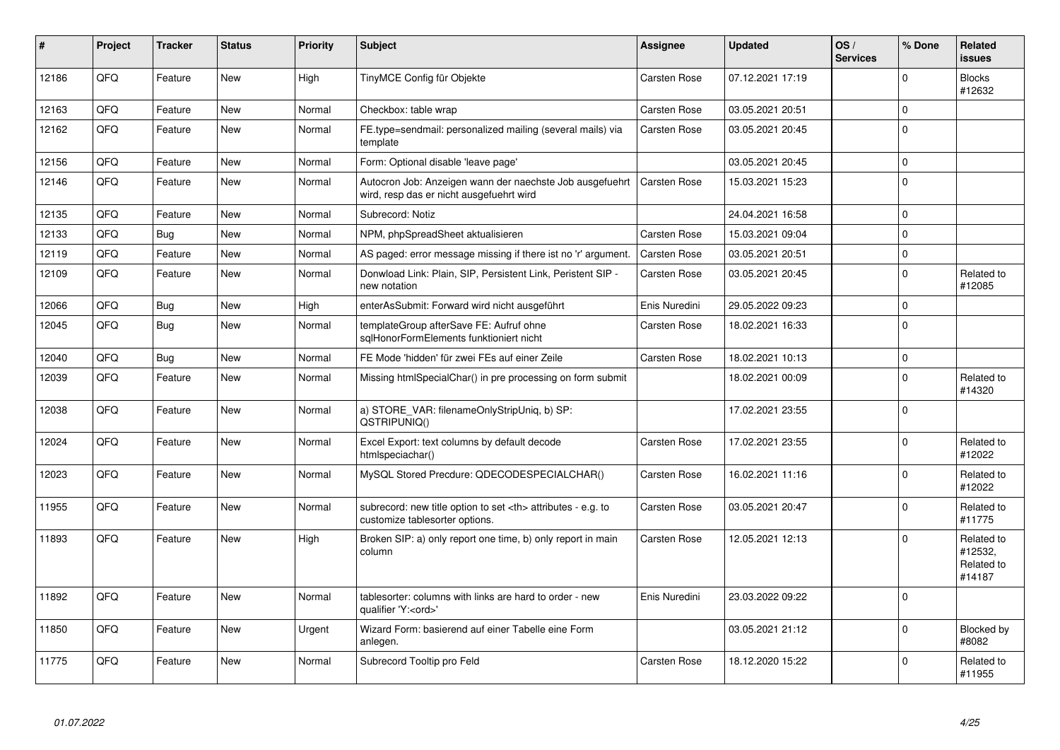| #     | <b>Project</b> | <b>Tracker</b> | <b>Status</b> | <b>Priority</b> | <b>Subject</b>                                                                                       | Assignee                                               | <b>Updated</b>   | OS/<br><b>Services</b> | % Done      | Related<br><b>issues</b>                      |                      |
|-------|----------------|----------------|---------------|-----------------|------------------------------------------------------------------------------------------------------|--------------------------------------------------------|------------------|------------------------|-------------|-----------------------------------------------|----------------------|
| 12186 | QFQ            | Feature        | <b>New</b>    | High            | TinyMCE Config für Objekte                                                                           | Carsten Rose                                           | 07.12.2021 17:19 |                        | $\Omega$    | <b>Blocks</b><br>#12632                       |                      |
| 12163 | QFQ            | Feature        | <b>New</b>    | Normal          | Checkbox: table wrap                                                                                 | Carsten Rose                                           | 03.05.2021 20:51 |                        | $\mathbf 0$ |                                               |                      |
| 12162 | QFQ            | Feature        | New           | Normal          | FE.type=sendmail: personalized mailing (several mails) via<br>template                               | Carsten Rose                                           | 03.05.2021 20:45 |                        | $\mathbf 0$ |                                               |                      |
| 12156 | OFQ            | Feature        | <b>New</b>    | Normal          | Form: Optional disable 'leave page'                                                                  |                                                        | 03.05.2021 20:45 |                        | $\mathbf 0$ |                                               |                      |
| 12146 | QFQ            | Feature        | New           | Normal          | Autocron Job: Anzeigen wann der naechste Job ausgefuehrt<br>wird, resp das er nicht ausgefuehrt wird | Carsten Rose                                           | 15.03.2021 15:23 |                        | $\mathbf 0$ |                                               |                      |
| 12135 | QFQ            | Feature        | <b>New</b>    | Normal          | Subrecord: Notiz                                                                                     |                                                        | 24.04.2021 16:58 |                        | $\mathbf 0$ |                                               |                      |
| 12133 | QFQ            | Bug            | New           | Normal          | NPM, phpSpreadSheet aktualisieren                                                                    | Carsten Rose                                           | 15.03.2021 09:04 |                        | $\mathbf 0$ |                                               |                      |
| 12119 | QFQ            | Feature        | <b>New</b>    | Normal          | AS paged: error message missing if there ist no 'r' argument.                                        | Carsten Rose                                           | 03.05.2021 20:51 |                        | $\mathbf 0$ |                                               |                      |
| 12109 | QFQ            | Feature        | <b>New</b>    | Normal          | Donwload Link: Plain, SIP, Persistent Link, Peristent SIP -<br>new notation                          | Carsten Rose                                           | 03.05.2021 20:45 |                        | $\pmb{0}$   | Related to<br>#12085                          |                      |
| 12066 | QFQ            | Bug            | <b>New</b>    | High            | enterAsSubmit: Forward wird nicht ausgeführt                                                         | Enis Nuredini                                          | 29.05.2022 09:23 |                        | $\mathbf 0$ |                                               |                      |
| 12045 | QFQ            | Bug            | <b>New</b>    | Normal          | templateGroup afterSave FE: Aufruf ohne<br>sqlHonorFormElements funktioniert nicht                   | Carsten Rose                                           | 18.02.2021 16:33 |                        | $\mathbf 0$ |                                               |                      |
| 12040 | QFQ            | Bug            | New           | Normal          | FE Mode 'hidden' für zwei FEs auf einer Zeile                                                        | Carsten Rose                                           | 18.02.2021 10:13 |                        | $\pmb{0}$   |                                               |                      |
| 12039 | QFQ            | Feature        | <b>New</b>    | Normal          | Missing htmlSpecialChar() in pre processing on form submit                                           |                                                        | 18.02.2021 00:09 |                        | $\mathbf 0$ | Related to<br>#14320                          |                      |
| 12038 | QFQ            | Feature        | <b>New</b>    | Normal          | a) STORE VAR: filenameOnlyStripUniq, b) SP:<br>QSTRIPUNIQ()                                          |                                                        | 17.02.2021 23:55 |                        | $\mathbf 0$ |                                               |                      |
| 12024 | QFQ            | Feature        | New           | Normal          | Excel Export: text columns by default decode<br>htmlspeciachar()                                     | Carsten Rose                                           | 17.02.2021 23:55 |                        | $\mathbf 0$ | Related to<br>#12022                          |                      |
| 12023 | QFQ            | Feature        | <b>New</b>    | Normal          | MySQL Stored Precdure: QDECODESPECIALCHAR()                                                          | Carsten Rose                                           | 16.02.2021 11:16 |                        | $\Omega$    | Related to<br>#12022                          |                      |
| 11955 | QFQ            | Feature        | <b>New</b>    | Normal          | subrecord: new title option to set <th> attributes - e.g. to<br/>customize tablesorter options.</th> | attributes - e.g. to<br>customize tablesorter options. | Carsten Rose     | 03.05.2021 20:47       |             | $\mathbf 0$                                   | Related to<br>#11775 |
| 11893 | QFQ            | Feature        | <b>New</b>    | High            | Broken SIP: a) only report one time, b) only report in main<br>column                                | Carsten Rose                                           | 12.05.2021 12:13 |                        | $\Omega$    | Related to<br>#12532,<br>Related to<br>#14187 |                      |
| 11892 | QFQ            | Feature        | <b>New</b>    | Normal          | tablesorter: columns with links are hard to order - new<br>qualifier 'Y: < ord>'                     | Enis Nuredini                                          | 23.03.2022 09:22 |                        | $\mathbf 0$ |                                               |                      |
| 11850 | QFQ            | Feature        | <b>New</b>    | Urgent          | Wizard Form: basierend auf einer Tabelle eine Form<br>anlegen.                                       |                                                        | 03.05.2021 21:12 |                        | $\pmb{0}$   | Blocked by<br>#8082                           |                      |
| 11775 | QFQ            | Feature        | <b>New</b>    | Normal          | Subrecord Tooltip pro Feld                                                                           | Carsten Rose                                           | 18.12.2020 15:22 |                        | $\Omega$    | Related to<br>#11955                          |                      |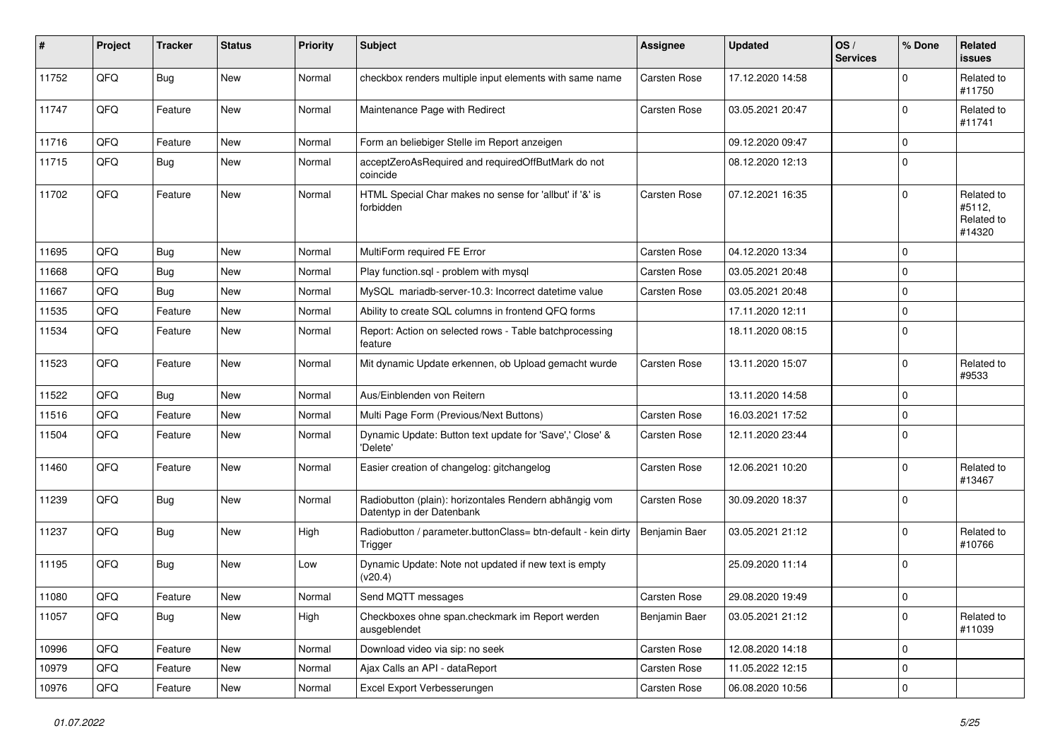| #     | Project | <b>Tracker</b> | <b>Status</b> | <b>Priority</b> | <b>Subject</b>                                                                      | <b>Assignee</b>     | <b>Updated</b>   | OS/<br><b>Services</b> | % Done      | Related<br><b>issues</b>                     |
|-------|---------|----------------|---------------|-----------------|-------------------------------------------------------------------------------------|---------------------|------------------|------------------------|-------------|----------------------------------------------|
| 11752 | QFQ     | Bug            | New           | Normal          | checkbox renders multiple input elements with same name                             | Carsten Rose        | 17.12.2020 14:58 |                        | $\Omega$    | Related to<br>#11750                         |
| 11747 | QFQ     | Feature        | New           | Normal          | Maintenance Page with Redirect                                                      | Carsten Rose        | 03.05.2021 20:47 |                        | $\Omega$    | Related to<br>#11741                         |
| 11716 | QFQ     | Feature        | New           | Normal          | Form an beliebiger Stelle im Report anzeigen                                        |                     | 09.12.2020 09:47 |                        | $\Omega$    |                                              |
| 11715 | QFQ     | <b>Bug</b>     | New           | Normal          | acceptZeroAsRequired and requiredOffButMark do not<br>coincide                      |                     | 08.12.2020 12:13 |                        | $\Omega$    |                                              |
| 11702 | QFQ     | Feature        | New           | Normal          | HTML Special Char makes no sense for 'allbut' if '&' is<br>forbidden                | Carsten Rose        | 07.12.2021 16:35 |                        | $\Omega$    | Related to<br>#5112,<br>Related to<br>#14320 |
| 11695 | QFQ     | Bug            | <b>New</b>    | Normal          | MultiForm required FE Error                                                         | <b>Carsten Rose</b> | 04.12.2020 13:34 |                        | $\Omega$    |                                              |
| 11668 | QFQ     | Bug            | New           | Normal          | Play function.sql - problem with mysql                                              | <b>Carsten Rose</b> | 03.05.2021 20:48 |                        | $\Omega$    |                                              |
| 11667 | QFQ     | Bug            | <b>New</b>    | Normal          | MySQL mariadb-server-10.3: Incorrect datetime value                                 | Carsten Rose        | 03.05.2021 20:48 |                        | $\Omega$    |                                              |
| 11535 | QFQ     | Feature        | New           | Normal          | Ability to create SQL columns in frontend QFQ forms                                 |                     | 17.11.2020 12:11 |                        | $\Omega$    |                                              |
| 11534 | QFQ     | Feature        | New           | Normal          | Report: Action on selected rows - Table batchprocessing<br>feature                  |                     | 18.11.2020 08:15 |                        | $\Omega$    |                                              |
| 11523 | QFQ     | Feature        | New           | Normal          | Mit dynamic Update erkennen, ob Upload gemacht wurde                                | <b>Carsten Rose</b> | 13.11.2020 15:07 |                        | $\mathbf 0$ | Related to<br>#9533                          |
| 11522 | QFQ     | Bug            | <b>New</b>    | Normal          | Aus/Einblenden von Reitern                                                          |                     | 13.11.2020 14:58 |                        | $\Omega$    |                                              |
| 11516 | QFQ     | Feature        | <b>New</b>    | Normal          | Multi Page Form (Previous/Next Buttons)                                             | <b>Carsten Rose</b> | 16.03.2021 17:52 |                        | $\Omega$    |                                              |
| 11504 | QFQ     | Feature        | New           | Normal          | Dynamic Update: Button text update for 'Save',' Close' &<br>'Delete'                | Carsten Rose        | 12.11.2020 23:44 |                        | $\Omega$    |                                              |
| 11460 | QFQ     | Feature        | New           | Normal          | Easier creation of changelog: gitchangelog                                          | <b>Carsten Rose</b> | 12.06.2021 10:20 |                        | $\Omega$    | Related to<br>#13467                         |
| 11239 | QFQ     | <b>Bug</b>     | New           | Normal          | Radiobutton (plain): horizontales Rendern abhängig vom<br>Datentyp in der Datenbank | Carsten Rose        | 30.09.2020 18:37 |                        | $\Omega$    |                                              |
| 11237 | QFQ     | Bug            | New           | High            | Radiobutton / parameter.buttonClass= btn-default - kein dirty<br>Trigger            | Benjamin Baer       | 03.05.2021 21:12 |                        | $\Omega$    | Related to<br>#10766                         |
| 11195 | QFQ     | Bug            | <b>New</b>    | Low             | Dynamic Update: Note not updated if new text is empty<br>(v20.4)                    |                     | 25.09.2020 11:14 |                        | $\Omega$    |                                              |
| 11080 | QFQ     | Feature        | New           | Normal          | Send MQTT messages                                                                  | Carsten Rose        | 29.08.2020 19:49 |                        | $\mathbf 0$ |                                              |
| 11057 | QFQ     | <b>Bug</b>     | New           | High            | Checkboxes ohne span.checkmark im Report werden<br>ausgeblendet                     | Benjamin Baer       | 03.05.2021 21:12 |                        | 0           | Related to<br>#11039                         |
| 10996 | QFQ     | Feature        | New           | Normal          | Download video via sip: no seek                                                     | Carsten Rose        | 12.08.2020 14:18 |                        | $\mathbf 0$ |                                              |
| 10979 | QFQ     | Feature        | New           | Normal          | Ajax Calls an API - dataReport                                                      | Carsten Rose        | 11.05.2022 12:15 |                        | $\mathbf 0$ |                                              |
| 10976 | QFQ     | Feature        | New           | Normal          | Excel Export Verbesserungen                                                         | Carsten Rose        | 06.08.2020 10:56 |                        | 0           |                                              |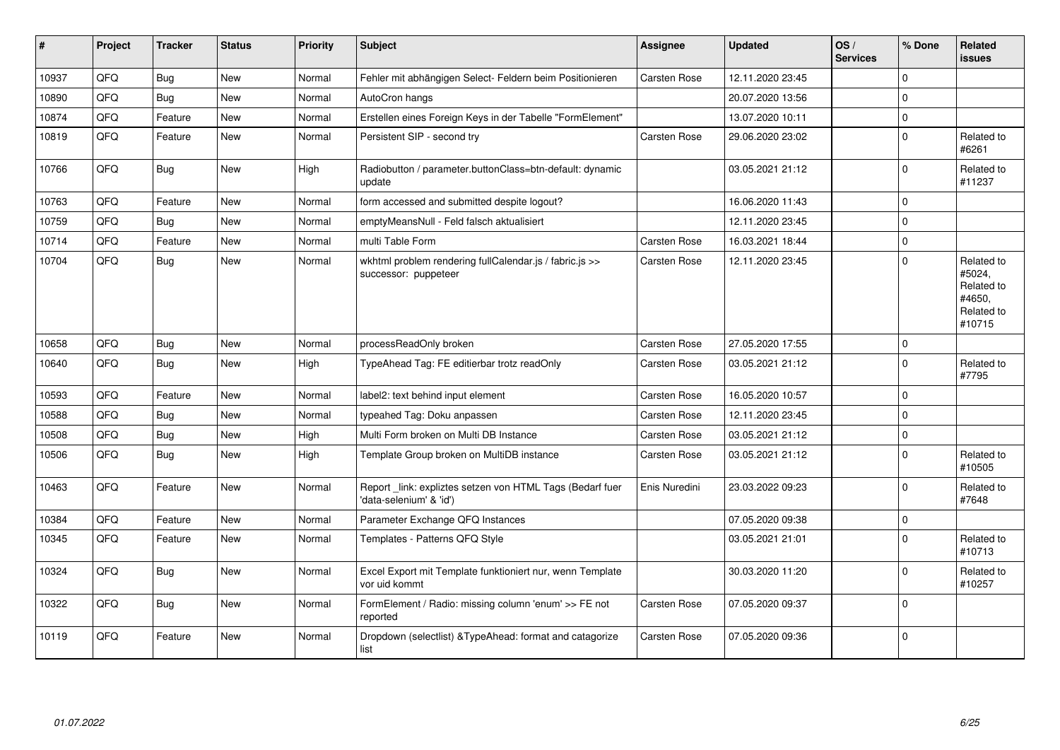| $\sharp$ | Project | <b>Tracker</b> | <b>Status</b> | <b>Priority</b> | <b>Subject</b>                                                                       | Assignee            | <b>Updated</b>   | OS/<br><b>Services</b> | % Done      | Related<br><b>issues</b>                                             |
|----------|---------|----------------|---------------|-----------------|--------------------------------------------------------------------------------------|---------------------|------------------|------------------------|-------------|----------------------------------------------------------------------|
| 10937    | QFQ     | <b>Bug</b>     | <b>New</b>    | Normal          | Fehler mit abhängigen Select- Feldern beim Positionieren                             | Carsten Rose        | 12.11.2020 23:45 |                        | $\Omega$    |                                                                      |
| 10890    | QFQ     | Bug            | <b>New</b>    | Normal          | AutoCron hangs                                                                       |                     | 20.07.2020 13:56 |                        | $\mathbf 0$ |                                                                      |
| 10874    | QFQ     | Feature        | <b>New</b>    | Normal          | Erstellen eines Foreign Keys in der Tabelle "FormElement"                            |                     | 13.07.2020 10:11 |                        | $\mathbf 0$ |                                                                      |
| 10819    | QFQ     | Feature        | New           | Normal          | Persistent SIP - second try                                                          | <b>Carsten Rose</b> | 29.06.2020 23:02 |                        | $\mathbf 0$ | Related to<br>#6261                                                  |
| 10766    | QFQ     | Bug            | <b>New</b>    | High            | Radiobutton / parameter.buttonClass=btn-default: dynamic<br>update                   |                     | 03.05.2021 21:12 |                        | $\mathbf 0$ | Related to<br>#11237                                                 |
| 10763    | QFQ     | Feature        | New           | Normal          | form accessed and submitted despite logout?                                          |                     | 16.06.2020 11:43 |                        | $\mathbf 0$ |                                                                      |
| 10759    | QFQ     | Bug            | <b>New</b>    | Normal          | emptyMeansNull - Feld falsch aktualisiert                                            |                     | 12.11.2020 23:45 |                        | $\mathbf 0$ |                                                                      |
| 10714    | QFQ     | Feature        | <b>New</b>    | Normal          | multi Table Form                                                                     | Carsten Rose        | 16.03.2021 18:44 |                        | $\mathbf 0$ |                                                                      |
| 10704    | QFQ     | <b>Bug</b>     | <b>New</b>    | Normal          | wkhtml problem rendering fullCalendar.js / fabric.js >><br>successor: puppeteer      | Carsten Rose        | 12.11.2020 23:45 |                        | $\mathbf 0$ | Related to<br>#5024,<br>Related to<br>#4650,<br>Related to<br>#10715 |
| 10658    | QFQ     | <b>Bug</b>     | <b>New</b>    | Normal          | processReadOnly broken                                                               | Carsten Rose        | 27.05.2020 17:55 |                        | $\pmb{0}$   |                                                                      |
| 10640    | QFQ     | <b>Bug</b>     | <b>New</b>    | High            | TypeAhead Tag: FE editierbar trotz readOnly                                          | Carsten Rose        | 03.05.2021 21:12 |                        | $\mathbf 0$ | Related to<br>#7795                                                  |
| 10593    | QFQ     | Feature        | New           | Normal          | label2: text behind input element                                                    | Carsten Rose        | 16.05.2020 10:57 |                        | $\pmb{0}$   |                                                                      |
| 10588    | QFQ     | Bug            | <b>New</b>    | Normal          | typeahed Tag: Doku anpassen                                                          | Carsten Rose        | 12.11.2020 23:45 |                        | $\mathbf 0$ |                                                                      |
| 10508    | QFQ     | <b>Bug</b>     | <b>New</b>    | High            | Multi Form broken on Multi DB Instance                                               | Carsten Rose        | 03.05.2021 21:12 |                        | $\pmb{0}$   |                                                                      |
| 10506    | QFQ     | Bug            | <b>New</b>    | High            | Template Group broken on MultiDB instance                                            | Carsten Rose        | 03.05.2021 21:12 |                        | $\mathbf 0$ | Related to<br>#10505                                                 |
| 10463    | QFQ     | Feature        | <b>New</b>    | Normal          | Report _link: expliztes setzen von HTML Tags (Bedarf fuer<br>'data-selenium' & 'id') | Enis Nuredini       | 23.03.2022 09:23 |                        | $\mathbf 0$ | Related to<br>#7648                                                  |
| 10384    | QFQ     | Feature        | <b>New</b>    | Normal          | Parameter Exchange QFQ Instances                                                     |                     | 07.05.2020 09:38 |                        | $\pmb{0}$   |                                                                      |
| 10345    | QFQ     | Feature        | <b>New</b>    | Normal          | Templates - Patterns QFQ Style                                                       |                     | 03.05.2021 21:01 |                        | $\mathbf 0$ | Related to<br>#10713                                                 |
| 10324    | QFQ     | <b>Bug</b>     | <b>New</b>    | Normal          | Excel Export mit Template funktioniert nur, wenn Template<br>vor uid kommt           |                     | 30.03.2020 11:20 |                        | $\mathbf 0$ | Related to<br>#10257                                                 |
| 10322    | QFQ     | <b>Bug</b>     | <b>New</b>    | Normal          | FormElement / Radio: missing column 'enum' >> FE not<br>reported                     | <b>Carsten Rose</b> | 07.05.2020 09:37 |                        | $\mathbf 0$ |                                                                      |
| 10119    | QFQ     | Feature        | New           | Normal          | Dropdown (selectlist) & Type Ahead: format and catagorize<br>list                    | Carsten Rose        | 07.05.2020 09:36 |                        | $\mathbf 0$ |                                                                      |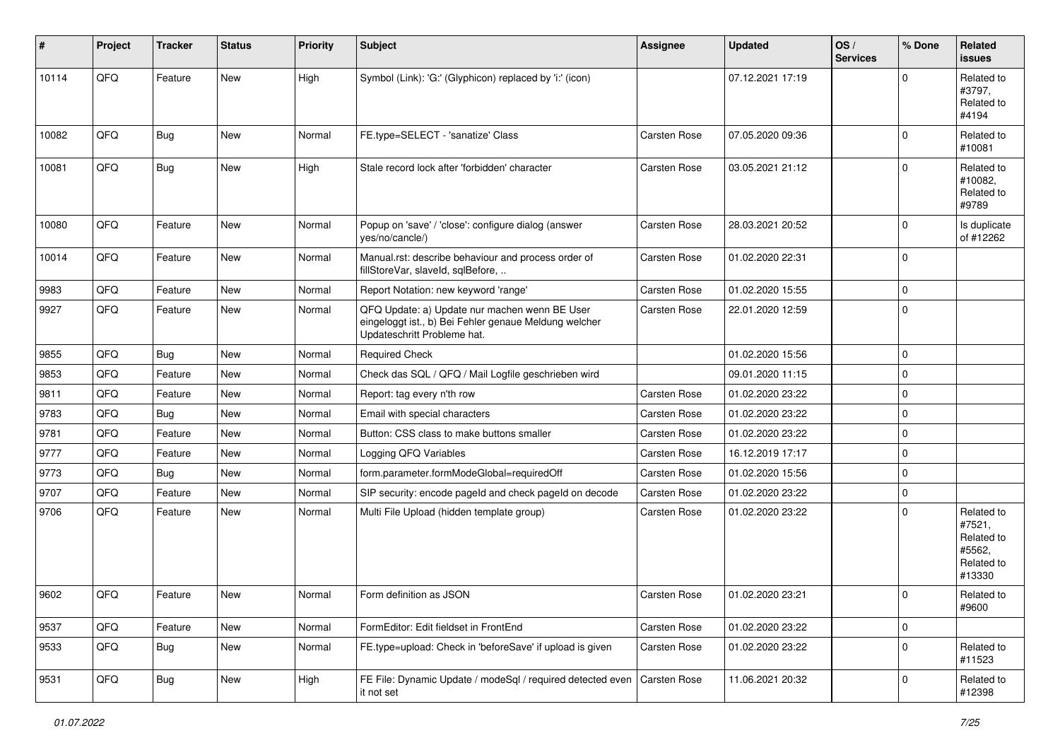| $\sharp$ | Project | <b>Tracker</b> | <b>Status</b> | <b>Priority</b> | <b>Subject</b>                                                                                                                        | <b>Assignee</b>     | <b>Updated</b>   | OS/<br><b>Services</b> | % Done      | Related<br>issues                                                    |
|----------|---------|----------------|---------------|-----------------|---------------------------------------------------------------------------------------------------------------------------------------|---------------------|------------------|------------------------|-------------|----------------------------------------------------------------------|
| 10114    | QFQ     | Feature        | <b>New</b>    | High            | Symbol (Link): 'G:' (Glyphicon) replaced by 'i:' (icon)                                                                               |                     | 07.12.2021 17:19 |                        | $\Omega$    | Related to<br>#3797,<br>Related to<br>#4194                          |
| 10082    | QFQ     | Bug            | <b>New</b>    | Normal          | FE.type=SELECT - 'sanatize' Class                                                                                                     | <b>Carsten Rose</b> | 07.05.2020 09:36 |                        | $\Omega$    | Related to<br>#10081                                                 |
| 10081    | QFQ     | Bug            | New           | High            | Stale record lock after 'forbidden' character                                                                                         | <b>Carsten Rose</b> | 03.05.2021 21:12 |                        | $\Omega$    | Related to<br>#10082,<br>Related to<br>#9789                         |
| 10080    | QFQ     | Feature        | <b>New</b>    | Normal          | Popup on 'save' / 'close': configure dialog (answer<br>yes/no/cancle/)                                                                | <b>Carsten Rose</b> | 28.03.2021 20:52 |                        | $\mathbf 0$ | Is duplicate<br>of #12262                                            |
| 10014    | QFQ     | Feature        | <b>New</b>    | Normal          | Manual.rst: describe behaviour and process order of<br>fillStoreVar, slaveId, sqlBefore,                                              | Carsten Rose        | 01.02.2020 22:31 |                        | 0           |                                                                      |
| 9983     | QFQ     | Feature        | <b>New</b>    | Normal          | Report Notation: new keyword 'range'                                                                                                  | <b>Carsten Rose</b> | 01.02.2020 15:55 |                        | 0           |                                                                      |
| 9927     | QFQ     | Feature        | New           | Normal          | QFQ Update: a) Update nur machen wenn BE User<br>eingeloggt ist., b) Bei Fehler genaue Meldung welcher<br>Updateschritt Probleme hat. | <b>Carsten Rose</b> | 22.01.2020 12:59 |                        | $\mathbf 0$ |                                                                      |
| 9855     | QFQ     | <b>Bug</b>     | <b>New</b>    | Normal          | <b>Required Check</b>                                                                                                                 |                     | 01.02.2020 15:56 |                        | 0           |                                                                      |
| 9853     | QFQ     | Feature        | New           | Normal          | Check das SQL / QFQ / Mail Logfile geschrieben wird                                                                                   |                     | 09.01.2020 11:15 |                        | $\Omega$    |                                                                      |
| 9811     | QFQ     | Feature        | New           | Normal          | Report: tag every n'th row                                                                                                            | <b>Carsten Rose</b> | 01.02.2020 23:22 |                        | 0           |                                                                      |
| 9783     | QFQ     | Bug            | New           | Normal          | Email with special characters                                                                                                         | Carsten Rose        | 01.02.2020 23:22 |                        | $\mathbf 0$ |                                                                      |
| 9781     | QFQ     | Feature        | <b>New</b>    | Normal          | Button: CSS class to make buttons smaller                                                                                             | Carsten Rose        | 01.02.2020 23:22 |                        | 0           |                                                                      |
| 9777     | QFQ     | Feature        | New           | Normal          | Logging QFQ Variables                                                                                                                 | Carsten Rose        | 16.12.2019 17:17 |                        | 0           |                                                                      |
| 9773     | QFQ     | <b>Bug</b>     | New           | Normal          | form.parameter.formModeGlobal=requiredOff                                                                                             | Carsten Rose        | 01.02.2020 15:56 |                        | 0           |                                                                      |
| 9707     | QFQ     | Feature        | <b>New</b>    | Normal          | SIP security: encode pageld and check pageld on decode                                                                                | Carsten Rose        | 01.02.2020 23:22 |                        | 0           |                                                                      |
| 9706     | QFQ     | Feature        | <b>New</b>    | Normal          | Multi File Upload (hidden template group)                                                                                             | Carsten Rose        | 01.02.2020 23:22 |                        | $\mathbf 0$ | Related to<br>#7521,<br>Related to<br>#5562,<br>Related to<br>#13330 |
| 9602     | QFQ     | Feature        | New           | Normal          | Form definition as JSON                                                                                                               | <b>Carsten Rose</b> | 01.02.2020 23:21 |                        | $\Omega$    | Related to<br>#9600                                                  |
| 9537     | QFQ     | Feature        | New           | Normal          | FormEditor: Edit fieldset in FrontEnd                                                                                                 | Carsten Rose        | 01.02.2020 23:22 |                        | 0           |                                                                      |
| 9533     | QFQ     | Bug            | New           | Normal          | FE.type=upload: Check in 'beforeSave' if upload is given                                                                              | Carsten Rose        | 01.02.2020 23:22 |                        | $\pmb{0}$   | Related to<br>#11523                                                 |
| 9531     | QFQ     | Bug            | New           | High            | FE File: Dynamic Update / modeSql / required detected even<br>it not set                                                              | Carsten Rose        | 11.06.2021 20:32 |                        | 0           | Related to<br>#12398                                                 |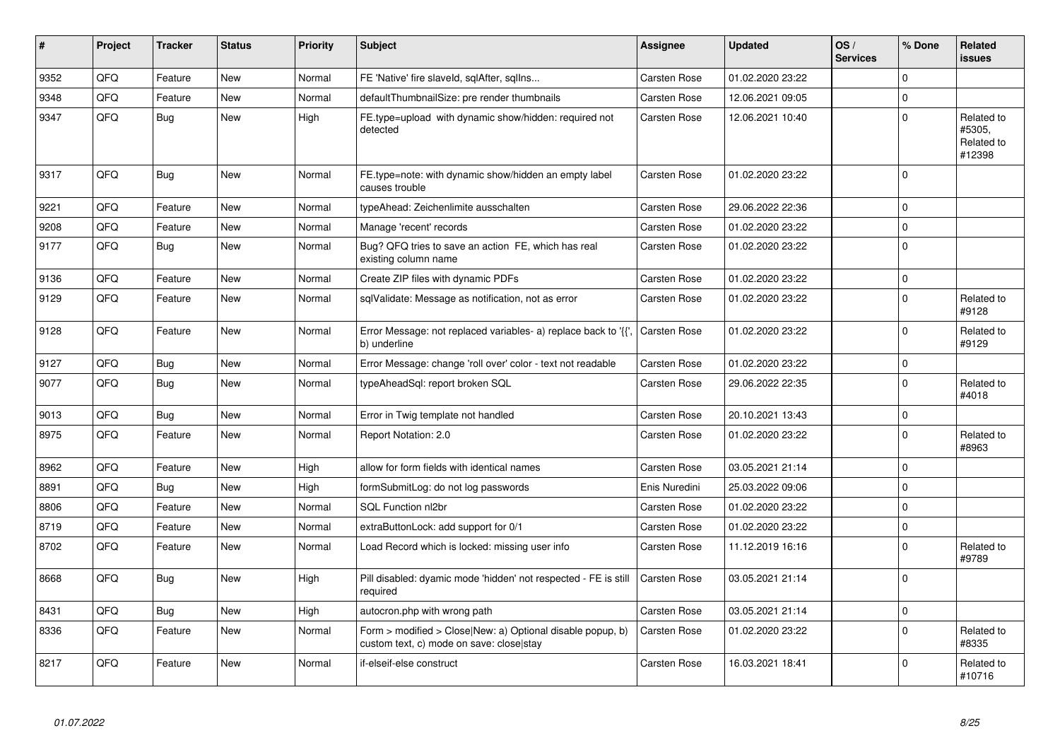| #    | Project | <b>Tracker</b> | <b>Status</b> | <b>Priority</b> | <b>Subject</b>                                                                                         | <b>Assignee</b> | <b>Updated</b>   | OS/<br><b>Services</b> | % Done      | Related<br><b>issues</b>                     |
|------|---------|----------------|---------------|-----------------|--------------------------------------------------------------------------------------------------------|-----------------|------------------|------------------------|-------------|----------------------------------------------|
| 9352 | QFQ     | Feature        | <b>New</b>    | Normal          | FE 'Native' fire slaveld, sqlAfter, sqlIns                                                             | Carsten Rose    | 01.02.2020 23:22 |                        | $\Omega$    |                                              |
| 9348 | QFQ     | Feature        | New           | Normal          | defaultThumbnailSize: pre render thumbnails                                                            | Carsten Rose    | 12.06.2021 09:05 |                        | $\mathbf 0$ |                                              |
| 9347 | QFQ     | <b>Bug</b>     | New           | High            | FE.type=upload with dynamic show/hidden: required not<br>detected                                      | Carsten Rose    | 12.06.2021 10:40 |                        | $\mathbf 0$ | Related to<br>#5305,<br>Related to<br>#12398 |
| 9317 | QFQ     | <b>Bug</b>     | <b>New</b>    | Normal          | FE.type=note: with dynamic show/hidden an empty label<br>causes trouble                                | Carsten Rose    | 01.02.2020 23:22 |                        | $\mathbf 0$ |                                              |
| 9221 | QFQ     | Feature        | New           | Normal          | typeAhead: Zeichenlimite ausschalten                                                                   | Carsten Rose    | 29.06.2022 22:36 |                        | $\mathbf 0$ |                                              |
| 9208 | QFQ     | Feature        | <b>New</b>    | Normal          | Manage 'recent' records                                                                                | Carsten Rose    | 01.02.2020 23:22 |                        | $\mathbf 0$ |                                              |
| 9177 | QFQ     | <b>Bug</b>     | <b>New</b>    | Normal          | Bug? QFQ tries to save an action FE, which has real<br>existing column name                            | Carsten Rose    | 01.02.2020 23:22 |                        | $\mathbf 0$ |                                              |
| 9136 | QFQ     | Feature        | New           | Normal          | Create ZIP files with dynamic PDFs                                                                     | Carsten Rose    | 01.02.2020 23:22 |                        | $\mathbf 0$ |                                              |
| 9129 | QFQ     | Feature        | <b>New</b>    | Normal          | sqlValidate: Message as notification, not as error                                                     | Carsten Rose    | 01.02.2020 23:22 |                        | $\mathbf 0$ | Related to<br>#9128                          |
| 9128 | QFQ     | Feature        | <b>New</b>    | Normal          | Error Message: not replaced variables- a) replace back to '{'<br>b) underline                          | Carsten Rose    | 01.02.2020 23:22 |                        | $\mathbf 0$ | Related to<br>#9129                          |
| 9127 | QFQ     | Bug            | <b>New</b>    | Normal          | Error Message: change 'roll over' color - text not readable                                            | Carsten Rose    | 01.02.2020 23:22 |                        | $\mathbf 0$ |                                              |
| 9077 | QFQ     | <b>Bug</b>     | <b>New</b>    | Normal          | typeAheadSql: report broken SQL                                                                        | Carsten Rose    | 29.06.2022 22:35 |                        | $\mathbf 0$ | Related to<br>#4018                          |
| 9013 | QFQ     | <b>Bug</b>     | <b>New</b>    | Normal          | Error in Twig template not handled                                                                     | Carsten Rose    | 20.10.2021 13:43 |                        | $\mathbf 0$ |                                              |
| 8975 | QFQ     | Feature        | New           | Normal          | Report Notation: 2.0                                                                                   | Carsten Rose    | 01.02.2020 23:22 |                        | $\mathbf 0$ | Related to<br>#8963                          |
| 8962 | QFQ     | Feature        | <b>New</b>    | High            | allow for form fields with identical names                                                             | Carsten Rose    | 03.05.2021 21:14 |                        | $\mathbf 0$ |                                              |
| 8891 | QFQ     | Bug            | <b>New</b>    | High            | formSubmitLog: do not log passwords                                                                    | Enis Nuredini   | 25.03.2022 09:06 |                        | $\mathbf 0$ |                                              |
| 8806 | QFQ     | Feature        | <b>New</b>    | Normal          | SQL Function nl2br                                                                                     | Carsten Rose    | 01.02.2020 23:22 |                        | $\mathbf 0$ |                                              |
| 8719 | QFQ     | Feature        | <b>New</b>    | Normal          | extraButtonLock: add support for 0/1                                                                   | Carsten Rose    | 01.02.2020 23:22 |                        | $\mathbf 0$ |                                              |
| 8702 | QFQ     | Feature        | <b>New</b>    | Normal          | Load Record which is locked: missing user info                                                         | Carsten Rose    | 11.12.2019 16:16 |                        | $\mathbf 0$ | Related to<br>#9789                          |
| 8668 | QFQ     | Bug            | <b>New</b>    | High            | Pill disabled: dyamic mode 'hidden' not respected - FE is still<br>required                            | Carsten Rose    | 03.05.2021 21:14 |                        | $\mathbf 0$ |                                              |
| 8431 | QFQ     | Bug            | <b>New</b>    | High            | autocron.php with wrong path                                                                           | Carsten Rose    | 03.05.2021 21:14 |                        | $\mathbf 0$ |                                              |
| 8336 | QFQ     | Feature        | <b>New</b>    | Normal          | Form > modified > Close New: a) Optional disable popup, b)<br>custom text, c) mode on save: close stay | Carsten Rose    | 01.02.2020 23:22 |                        | $\Omega$    | Related to<br>#8335                          |
| 8217 | QFQ     | Feature        | <b>New</b>    | Normal          | if-elseif-else construct                                                                               | Carsten Rose    | 16.03.2021 18:41 |                        | $\mathbf 0$ | Related to<br>#10716                         |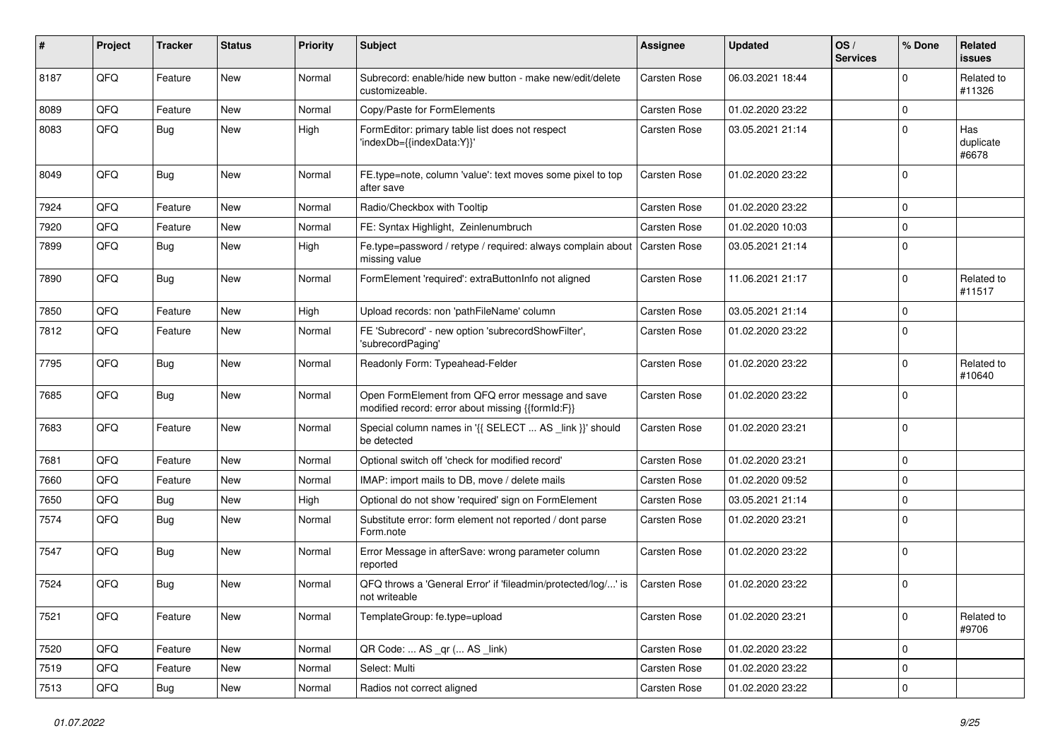| $\pmb{\#}$ | Project | <b>Tracker</b> | <b>Status</b> | <b>Priority</b> | Subject                                                                                               | <b>Assignee</b>     | <b>Updated</b>   | OS/<br><b>Services</b> | % Done       | Related<br><b>issues</b>  |
|------------|---------|----------------|---------------|-----------------|-------------------------------------------------------------------------------------------------------|---------------------|------------------|------------------------|--------------|---------------------------|
| 8187       | QFQ     | Feature        | New           | Normal          | Subrecord: enable/hide new button - make new/edit/delete<br>customizeable.                            | <b>Carsten Rose</b> | 06.03.2021 18:44 |                        | $\mathbf 0$  | Related to<br>#11326      |
| 8089       | QFQ     | Feature        | <b>New</b>    | Normal          | Copy/Paste for FormElements                                                                           | Carsten Rose        | 01.02.2020 23:22 |                        | $\mathbf 0$  |                           |
| 8083       | QFQ     | Bug            | New           | High            | FormEditor: primary table list does not respect<br>'indexDb={{indexData:Y}}'                          | Carsten Rose        | 03.05.2021 21:14 |                        | $\mathbf 0$  | Has<br>duplicate<br>#6678 |
| 8049       | QFQ     | Bug            | New           | Normal          | FE.type=note, column 'value': text moves some pixel to top<br>after save                              | Carsten Rose        | 01.02.2020 23:22 |                        | $\mathbf{0}$ |                           |
| 7924       | QFQ     | Feature        | <b>New</b>    | Normal          | Radio/Checkbox with Tooltip                                                                           | <b>Carsten Rose</b> | 01.02.2020 23:22 |                        | $\mathbf 0$  |                           |
| 7920       | QFQ     | Feature        | <b>New</b>    | Normal          | FE: Syntax Highlight, Zeinlenumbruch                                                                  | Carsten Rose        | 01.02.2020 10:03 |                        | $\mathbf 0$  |                           |
| 7899       | QFQ     | Bug            | <b>New</b>    | High            | Fe.type=password / retype / required: always complain about   Carsten Rose<br>missing value           |                     | 03.05.2021 21:14 |                        | $\mathbf{0}$ |                           |
| 7890       | QFQ     | Bug            | <b>New</b>    | Normal          | FormElement 'required': extraButtonInfo not aligned                                                   | Carsten Rose        | 11.06.2021 21:17 |                        | $\mathbf 0$  | Related to<br>#11517      |
| 7850       | QFQ     | Feature        | <b>New</b>    | High            | Upload records: non 'pathFileName' column                                                             | <b>Carsten Rose</b> | 03.05.2021 21:14 |                        | $\mathbf 0$  |                           |
| 7812       | QFQ     | Feature        | <b>New</b>    | Normal          | FE 'Subrecord' - new option 'subrecordShowFilter',<br>'subrecordPaging'                               | <b>Carsten Rose</b> | 01.02.2020 23:22 |                        | $\mathbf 0$  |                           |
| 7795       | QFQ     | <b>Bug</b>     | New           | Normal          | Readonly Form: Typeahead-Felder                                                                       | Carsten Rose        | 01.02.2020 23:22 |                        | $\mathbf 0$  | Related to<br>#10640      |
| 7685       | QFQ     | <b>Bug</b>     | <b>New</b>    | Normal          | Open FormElement from QFQ error message and save<br>modified record: error about missing {{formId:F}} | Carsten Rose        | 01.02.2020 23:22 |                        | $\mathbf 0$  |                           |
| 7683       | QFQ     | Feature        | <b>New</b>    | Normal          | Special column names in '{{ SELECT  AS _link }}' should<br>be detected                                | Carsten Rose        | 01.02.2020 23:21 |                        | $\mathbf{0}$ |                           |
| 7681       | QFQ     | Feature        | <b>New</b>    | Normal          | Optional switch off 'check for modified record'                                                       | Carsten Rose        | 01.02.2020 23:21 |                        | $\mathbf 0$  |                           |
| 7660       | QFQ     | Feature        | <b>New</b>    | Normal          | IMAP: import mails to DB, move / delete mails                                                         | <b>Carsten Rose</b> | 01.02.2020 09:52 |                        | $\mathbf{0}$ |                           |
| 7650       | QFQ     | <b>Bug</b>     | <b>New</b>    | High            | Optional do not show 'required' sign on FormElement                                                   | <b>Carsten Rose</b> | 03.05.2021 21:14 |                        | $\mathbf 0$  |                           |
| 7574       | QFQ     | Bug            | New           | Normal          | Substitute error: form element not reported / dont parse<br>Form.note                                 | <b>Carsten Rose</b> | 01.02.2020 23:21 |                        | $\mathbf{0}$ |                           |
| 7547       | QFQ     | Bug            | New           | Normal          | Error Message in afterSave: wrong parameter column<br>reported                                        | Carsten Rose        | 01.02.2020 23:22 |                        | $\mathbf{0}$ |                           |
| 7524       | QFQ     | <b>Bug</b>     | <b>New</b>    | Normal          | QFQ throws a 'General Error' if 'fileadmin/protected/log/' is<br>not writeable                        | Carsten Rose        | 01.02.2020 23:22 |                        | $\mathbf 0$  |                           |
| 7521       | QFQ     | Feature        | New           | Normal          | TemplateGroup: fe.type=upload                                                                         | Carsten Rose        | 01.02.2020 23:21 |                        | $\mathbf 0$  | Related to<br>#9706       |
| 7520       | QFQ     | Feature        | New           | Normal          | QR Code:  AS _qr ( AS _link)                                                                          | Carsten Rose        | 01.02.2020 23:22 |                        | 0            |                           |
| 7519       | QFQ     | Feature        | New           | Normal          | Select: Multi                                                                                         | Carsten Rose        | 01.02.2020 23:22 |                        | $\pmb{0}$    |                           |
| 7513       | QFQ     | Bug            | New           | Normal          | Radios not correct aligned                                                                            | Carsten Rose        | 01.02.2020 23:22 |                        | $\mathbf 0$  |                           |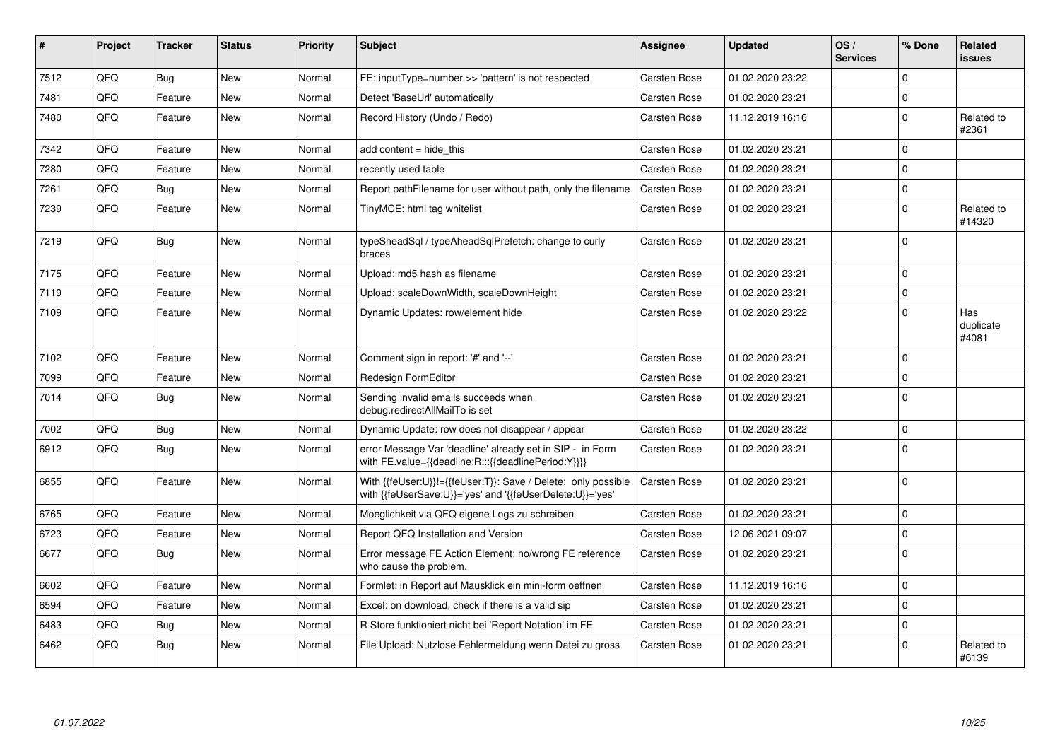| ∦    | Project | <b>Tracker</b> | <b>Status</b> | <b>Priority</b> | <b>Subject</b>                                                                                                             | <b>Assignee</b>     | <b>Updated</b>   | OS/<br><b>Services</b> | % Done       | <b>Related</b><br><b>issues</b> |
|------|---------|----------------|---------------|-----------------|----------------------------------------------------------------------------------------------------------------------------|---------------------|------------------|------------------------|--------------|---------------------------------|
| 7512 | QFQ     | <b>Bug</b>     | <b>New</b>    | Normal          | FE: inputType=number >> 'pattern' is not respected                                                                         | <b>Carsten Rose</b> | 01.02.2020 23:22 |                        | $\mathbf 0$  |                                 |
| 7481 | QFQ     | Feature        | <b>New</b>    | Normal          | Detect 'BaseUrl' automatically                                                                                             | Carsten Rose        | 01.02.2020 23:21 |                        | $\mathbf{0}$ |                                 |
| 7480 | QFQ     | Feature        | <b>New</b>    | Normal          | Record History (Undo / Redo)                                                                                               | Carsten Rose        | 11.12.2019 16:16 |                        | $\mathbf{0}$ | Related to<br>#2361             |
| 7342 | QFQ     | Feature        | <b>New</b>    | Normal          | add content $=$ hide this                                                                                                  | <b>Carsten Rose</b> | 01.02.2020 23:21 |                        | $\mathbf{0}$ |                                 |
| 7280 | QFQ     | Feature        | <b>New</b>    | Normal          | recently used table                                                                                                        | Carsten Rose        | 01.02.2020 23:21 |                        | $\mathbf 0$  |                                 |
| 7261 | QFQ     | Bug            | <b>New</b>    | Normal          | Report path Filename for user without path, only the filename                                                              | Carsten Rose        | 01.02.2020 23:21 |                        | $\mathbf 0$  |                                 |
| 7239 | QFQ     | Feature        | <b>New</b>    | Normal          | TinyMCE: html tag whitelist                                                                                                | Carsten Rose        | 01.02.2020 23:21 |                        | $\mathbf{0}$ | Related to<br>#14320            |
| 7219 | QFQ     | <b>Bug</b>     | <b>New</b>    | Normal          | typeSheadSql / typeAheadSqlPrefetch: change to curly<br>braces                                                             | Carsten Rose        | 01.02.2020 23:21 |                        | $\mathbf{0}$ |                                 |
| 7175 | QFQ     | Feature        | <b>New</b>    | Normal          | Upload: md5 hash as filename                                                                                               | Carsten Rose        | 01.02.2020 23:21 |                        | $\mathbf{0}$ |                                 |
| 7119 | QFQ     | Feature        | <b>New</b>    | Normal          | Upload: scaleDownWidth, scaleDownHeight                                                                                    | Carsten Rose        | 01.02.2020 23:21 |                        | $\pmb{0}$    |                                 |
| 7109 | QFQ     | Feature        | <b>New</b>    | Normal          | Dynamic Updates: row/element hide                                                                                          | Carsten Rose        | 01.02.2020 23:22 |                        | $\mathbf{0}$ | Has<br>duplicate<br>#4081       |
| 7102 | QFQ     | Feature        | <b>New</b>    | Normal          | Comment sign in report: '#' and '--'                                                                                       | Carsten Rose        | 01.02.2020 23:21 |                        | $\Omega$     |                                 |
| 7099 | QFQ     | Feature        | <b>New</b>    | Normal          | Redesign FormEditor                                                                                                        | Carsten Rose        | 01.02.2020 23:21 |                        | $\mathbf 0$  |                                 |
| 7014 | QFQ     | Bug            | <b>New</b>    | Normal          | Sending invalid emails succeeds when<br>debug.redirectAllMailTo is set                                                     | Carsten Rose        | 01.02.2020 23:21 |                        | $\mathbf 0$  |                                 |
| 7002 | QFQ     | Bug            | <b>New</b>    | Normal          | Dynamic Update: row does not disappear / appear                                                                            | <b>Carsten Rose</b> | 01.02.2020 23:22 |                        | $\pmb{0}$    |                                 |
| 6912 | QFQ     | Bug            | <b>New</b>    | Normal          | error Message Var 'deadline' already set in SIP - in Form<br>with FE.value={{deadline:R:::{{deadlinePeriod:Y}}}}           | Carsten Rose        | 01.02.2020 23:21 |                        | $\mathbf 0$  |                                 |
| 6855 | QFQ     | Feature        | <b>New</b>    | Normal          | With {{feUser:U}}!={{feUser:T}}: Save / Delete: only possible<br>with {{feUserSave:U}}='yes' and '{{feUserDelete:U}}='yes' | Carsten Rose        | 01.02.2020 23:21 |                        | $\mathbf{0}$ |                                 |
| 6765 | QFQ     | Feature        | <b>New</b>    | Normal          | Moeglichkeit via QFQ eigene Logs zu schreiben                                                                              | Carsten Rose        | 01.02.2020 23:21 |                        | $\mathbf 0$  |                                 |
| 6723 | QFQ     | Feature        | <b>New</b>    | Normal          | Report QFQ Installation and Version                                                                                        | Carsten Rose        | 12.06.2021 09:07 |                        | $\mathbf 0$  |                                 |
| 6677 | QFQ     | Bug            | <b>New</b>    | Normal          | Error message FE Action Element: no/wrong FE reference<br>who cause the problem.                                           | Carsten Rose        | 01.02.2020 23:21 |                        | $\mathbf{0}$ |                                 |
| 6602 | QFQ     | Feature        | <b>New</b>    | Normal          | Formlet: in Report auf Mausklick ein mini-form oeffnen                                                                     | Carsten Rose        | 11.12.2019 16:16 |                        | $\mathbf{0}$ |                                 |
| 6594 | QFQ     | Feature        | New           | Normal          | Excel: on download, check if there is a valid sip                                                                          | Carsten Rose        | 01.02.2020 23:21 |                        | $\mathbf 0$  |                                 |
| 6483 | QFQ     | Bug            | <b>New</b>    | Normal          | R Store funktioniert nicht bei 'Report Notation' im FE                                                                     | Carsten Rose        | 01.02.2020 23:21 |                        | $\mathbf{0}$ |                                 |
| 6462 | QFQ     | Bug            | <b>New</b>    | Normal          | File Upload: Nutzlose Fehlermeldung wenn Datei zu gross                                                                    | Carsten Rose        | 01.02.2020 23:21 |                        | $\mathbf 0$  | Related to<br>#6139             |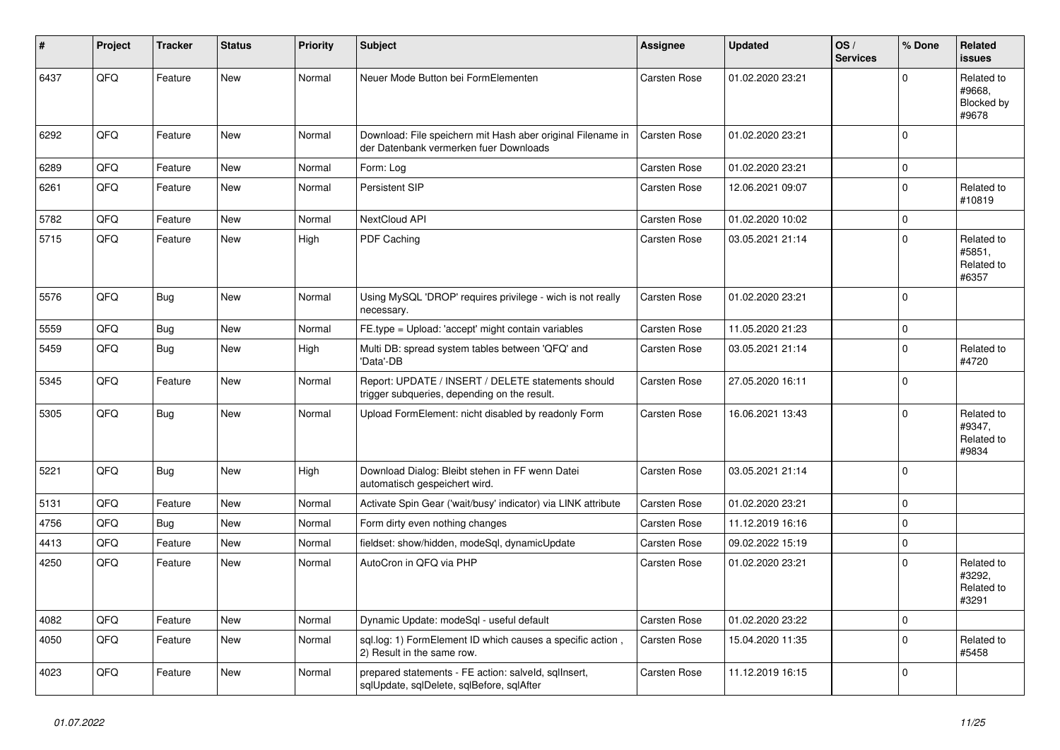| #    | Project | <b>Tracker</b> | <b>Status</b> | <b>Priority</b> | <b>Subject</b>                                                                                        | <b>Assignee</b>     | <b>Updated</b>   | OS/<br><b>Services</b> | % Done      | Related<br><b>issues</b>                    |
|------|---------|----------------|---------------|-----------------|-------------------------------------------------------------------------------------------------------|---------------------|------------------|------------------------|-------------|---------------------------------------------|
| 6437 | QFQ     | Feature        | New           | Normal          | Neuer Mode Button bei FormElementen                                                                   | Carsten Rose        | 01.02.2020 23:21 |                        | $\Omega$    | Related to<br>#9668,<br>Blocked by<br>#9678 |
| 6292 | QFQ     | Feature        | New           | Normal          | Download: File speichern mit Hash aber original Filename in<br>der Datenbank vermerken fuer Downloads | Carsten Rose        | 01.02.2020 23:21 |                        | $\mathbf 0$ |                                             |
| 6289 | QFQ     | Feature        | <b>New</b>    | Normal          | Form: Log                                                                                             | <b>Carsten Rose</b> | 01.02.2020 23:21 |                        | $\Omega$    |                                             |
| 6261 | QFQ     | Feature        | <b>New</b>    | Normal          | Persistent SIP                                                                                        | <b>Carsten Rose</b> | 12.06.2021 09:07 |                        | $\mathbf 0$ | Related to<br>#10819                        |
| 5782 | QFQ     | Feature        | <b>New</b>    | Normal          | <b>NextCloud API</b>                                                                                  | Carsten Rose        | 01.02.2020 10:02 |                        | $\mathbf 0$ |                                             |
| 5715 | QFQ     | Feature        | New           | High            | PDF Caching                                                                                           | Carsten Rose        | 03.05.2021 21:14 |                        | $\Omega$    | Related to<br>#5851,<br>Related to<br>#6357 |
| 5576 | QFQ     | <b>Bug</b>     | <b>New</b>    | Normal          | Using MySQL 'DROP' requires privilege - wich is not really<br>necessary.                              | <b>Carsten Rose</b> | 01.02.2020 23:21 |                        | $\Omega$    |                                             |
| 5559 | QFQ     | Bug            | New           | Normal          | FE.type = Upload: 'accept' might contain variables                                                    | Carsten Rose        | 11.05.2020 21:23 |                        | $\mathbf 0$ |                                             |
| 5459 | QFQ     | <b>Bug</b>     | New           | High            | Multi DB: spread system tables between 'QFQ' and<br>'Data'-DB                                         | <b>Carsten Rose</b> | 03.05.2021 21:14 |                        | $\Omega$    | Related to<br>#4720                         |
| 5345 | QFQ     | Feature        | New           | Normal          | Report: UPDATE / INSERT / DELETE statements should<br>trigger subqueries, depending on the result.    | Carsten Rose        | 27.05.2020 16:11 |                        | $\mathbf 0$ |                                             |
| 5305 | QFQ     | Bug            | <b>New</b>    | Normal          | Upload FormElement: nicht disabled by readonly Form                                                   | Carsten Rose        | 16.06.2021 13:43 |                        | $\Omega$    | Related to<br>#9347,<br>Related to<br>#9834 |
| 5221 | QFQ     | Bug            | New           | High            | Download Dialog: Bleibt stehen in FF wenn Datei<br>automatisch gespeichert wird.                      | Carsten Rose        | 03.05.2021 21:14 |                        | $\Omega$    |                                             |
| 5131 | QFQ     | Feature        | New           | Normal          | Activate Spin Gear ('wait/busy' indicator) via LINK attribute                                         | <b>Carsten Rose</b> | 01.02.2020 23:21 |                        | $\Omega$    |                                             |
| 4756 | QFQ     | Bug            | New           | Normal          | Form dirty even nothing changes                                                                       | Carsten Rose        | 11.12.2019 16:16 |                        | $\mathbf 0$ |                                             |
| 4413 | QFQ     | Feature        | <b>New</b>    | Normal          | fieldset: show/hidden, modeSql, dynamicUpdate                                                         | Carsten Rose        | 09.02.2022 15:19 |                        | $\mathbf 0$ |                                             |
| 4250 | QFQ     | Feature        | New           | Normal          | AutoCron in QFQ via PHP                                                                               | Carsten Rose        | 01.02.2020 23:21 |                        | $\mathbf 0$ | Related to<br>#3292,<br>Related to<br>#3291 |
| 4082 | QFQ     | Feature        | <b>New</b>    | Normal          | Dynamic Update: modeSql - useful default                                                              | <b>Carsten Rose</b> | 01.02.2020 23:22 |                        | $\mathbf 0$ |                                             |
| 4050 | QFQ     | Feature        | <b>New</b>    | Normal          | sql.log: 1) FormElement ID which causes a specific action,<br>2) Result in the same row.              | Carsten Rose        | 15.04.2020 11:35 |                        | $\Omega$    | Related to<br>#5458                         |
| 4023 | QFQ     | Feature        | <b>New</b>    | Normal          | prepared statements - FE action: salveld, sqlInsert,<br>sqlUpdate, sqlDelete, sqlBefore, sqlAfter     | Carsten Rose        | 11.12.2019 16:15 |                        | $\Omega$    |                                             |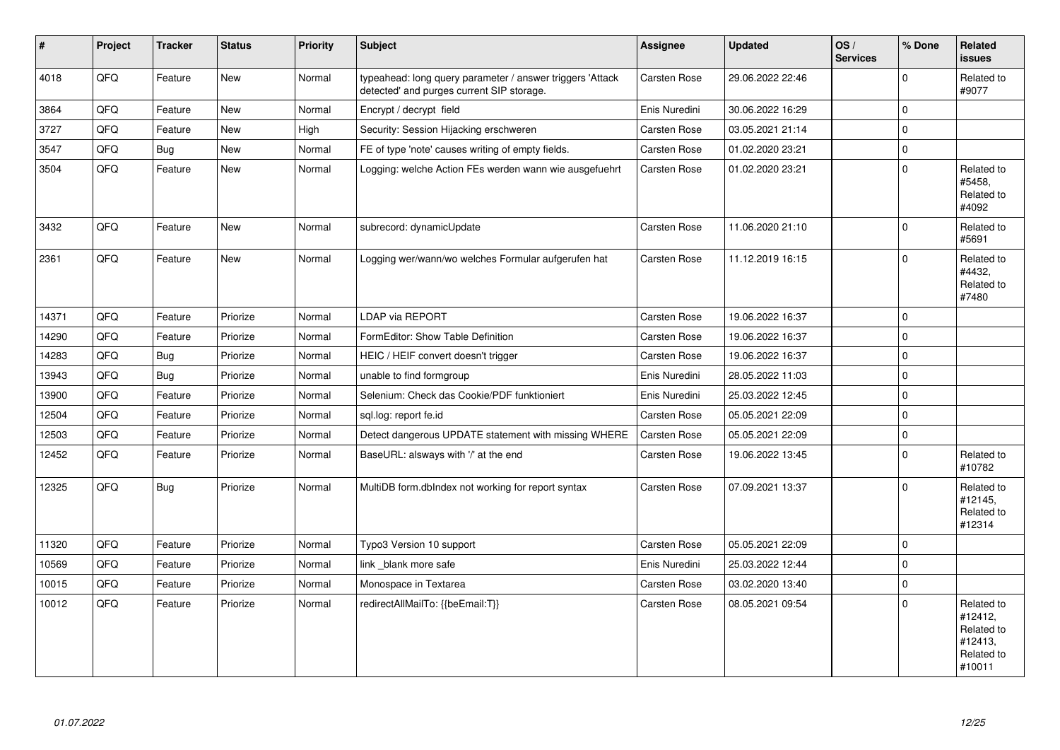| #     | Project | <b>Tracker</b> | <b>Status</b> | Priority | <b>Subject</b>                                                                                         | <b>Assignee</b>     | <b>Updated</b>   | OS/<br><b>Services</b> | % Done       | Related<br>issues                                                      |
|-------|---------|----------------|---------------|----------|--------------------------------------------------------------------------------------------------------|---------------------|------------------|------------------------|--------------|------------------------------------------------------------------------|
| 4018  | QFQ     | Feature        | New           | Normal   | typeahead: long query parameter / answer triggers 'Attack<br>detected' and purges current SIP storage. | <b>Carsten Rose</b> | 29.06.2022 22:46 |                        | $\mathbf 0$  | Related to<br>#9077                                                    |
| 3864  | QFQ     | Feature        | <b>New</b>    | Normal   | Encrypt / decrypt field                                                                                | Enis Nuredini       | 30.06.2022 16:29 |                        | $\mathbf{0}$ |                                                                        |
| 3727  | QFQ     | Feature        | <b>New</b>    | High     | Security: Session Hijacking erschweren                                                                 | Carsten Rose        | 03.05.2021 21:14 |                        | $\mathbf 0$  |                                                                        |
| 3547  | QFQ     | Bug            | <b>New</b>    | Normal   | FE of type 'note' causes writing of empty fields.                                                      | <b>Carsten Rose</b> | 01.02.2020 23:21 |                        | $\mathbf{0}$ |                                                                        |
| 3504  | QFQ     | Feature        | <b>New</b>    | Normal   | Logging: welche Action FEs werden wann wie ausgefuehrt                                                 | <b>Carsten Rose</b> | 01.02.2020 23:21 |                        | $\Omega$     | Related to<br>#5458.<br>Related to<br>#4092                            |
| 3432  | QFQ     | Feature        | <b>New</b>    | Normal   | subrecord: dynamicUpdate                                                                               | Carsten Rose        | 11.06.2020 21:10 |                        | $\mathbf{0}$ | Related to<br>#5691                                                    |
| 2361  | QFQ     | Feature        | New           | Normal   | Logging wer/wann/wo welches Formular aufgerufen hat                                                    | <b>Carsten Rose</b> | 11.12.2019 16:15 |                        | $\Omega$     | Related to<br>#4432,<br>Related to<br>#7480                            |
| 14371 | QFQ     | Feature        | Priorize      | Normal   | <b>LDAP via REPORT</b>                                                                                 | Carsten Rose        | 19.06.2022 16:37 |                        | $\Omega$     |                                                                        |
| 14290 | QFQ     | Feature        | Priorize      | Normal   | FormEditor: Show Table Definition                                                                      | Carsten Rose        | 19.06.2022 16:37 |                        | $\mathbf 0$  |                                                                        |
| 14283 | QFQ     | Bug            | Priorize      | Normal   | HEIC / HEIF convert doesn't trigger                                                                    | <b>Carsten Rose</b> | 19.06.2022 16:37 |                        | $\mathbf 0$  |                                                                        |
| 13943 | QFQ     | Bug            | Priorize      | Normal   | unable to find formgroup                                                                               | Enis Nuredini       | 28.05.2022 11:03 |                        | $\mathbf{0}$ |                                                                        |
| 13900 | QFQ     | Feature        | Priorize      | Normal   | Selenium: Check das Cookie/PDF funktioniert                                                            | Enis Nuredini       | 25.03.2022 12:45 |                        | $\mathbf 0$  |                                                                        |
| 12504 | QFQ     | Feature        | Priorize      | Normal   | sql.log: report fe.id                                                                                  | <b>Carsten Rose</b> | 05.05.2021 22:09 |                        | $\pmb{0}$    |                                                                        |
| 12503 | QFQ     | Feature        | Priorize      | Normal   | Detect dangerous UPDATE statement with missing WHERE                                                   | <b>Carsten Rose</b> | 05.05.2021 22:09 |                        | $\mathbf 0$  |                                                                        |
| 12452 | QFQ     | Feature        | Priorize      | Normal   | BaseURL: alsways with '/' at the end                                                                   | Carsten Rose        | 19.06.2022 13:45 |                        | $\mathbf 0$  | Related to<br>#10782                                                   |
| 12325 | QFQ     | <b>Bug</b>     | Priorize      | Normal   | MultiDB form.dblndex not working for report syntax                                                     | Carsten Rose        | 07.09.2021 13:37 |                        | $\mathbf 0$  | Related to<br>#12145,<br>Related to<br>#12314                          |
| 11320 | QFQ     | Feature        | Priorize      | Normal   | Typo3 Version 10 support                                                                               | <b>Carsten Rose</b> | 05.05.2021 22:09 |                        | $\mathbf 0$  |                                                                        |
| 10569 | QFQ     | Feature        | Priorize      | Normal   | link blank more safe                                                                                   | Enis Nuredini       | 25.03.2022 12:44 |                        | $\mathbf{0}$ |                                                                        |
| 10015 | QFQ     | Feature        | Priorize      | Normal   | Monospace in Textarea                                                                                  | Carsten Rose        | 03.02.2020 13:40 |                        | $\pmb{0}$    |                                                                        |
| 10012 | QFQ     | Feature        | Priorize      | Normal   | redirectAllMailTo: {{beEmail:T}}                                                                       | <b>Carsten Rose</b> | 08.05.2021 09:54 |                        | $\Omega$     | Related to<br>#12412,<br>Related to<br>#12413,<br>Related to<br>#10011 |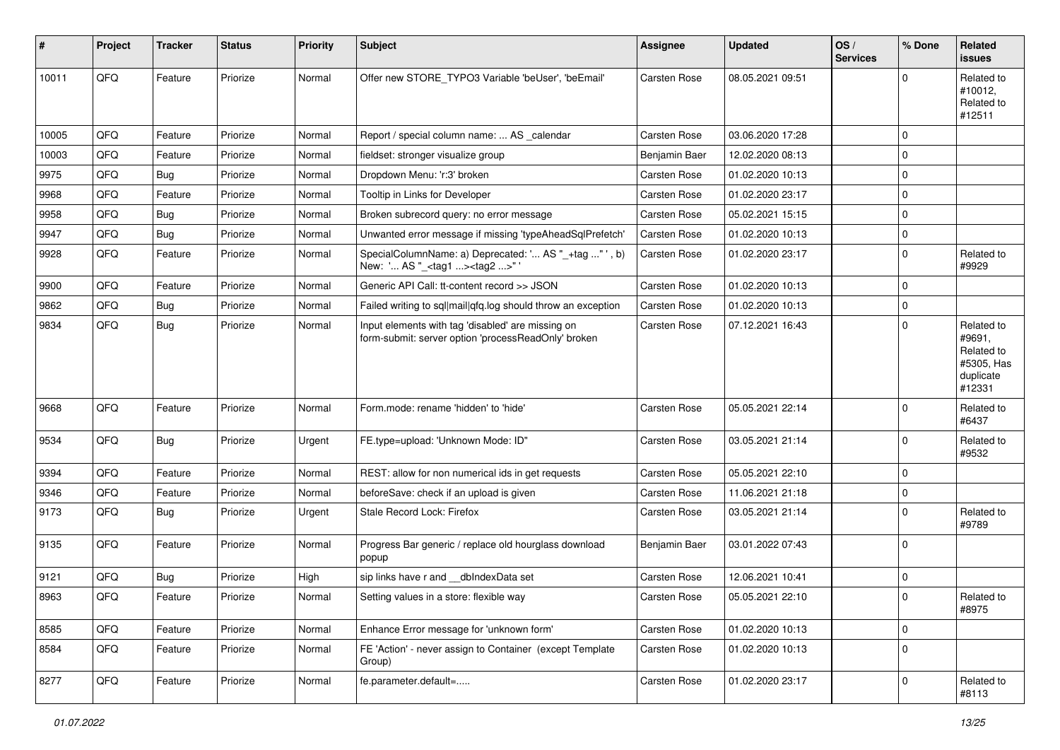| #     | Project | <b>Tracker</b> | <b>Status</b> | <b>Priority</b> | <b>Subject</b>                                                                                           | <b>Assignee</b>     | <b>Updated</b>   | OS/<br><b>Services</b> | % Done      | Related<br><b>issues</b>                                                |
|-------|---------|----------------|---------------|-----------------|----------------------------------------------------------------------------------------------------------|---------------------|------------------|------------------------|-------------|-------------------------------------------------------------------------|
| 10011 | QFQ     | Feature        | Priorize      | Normal          | Offer new STORE TYPO3 Variable 'beUser', 'beEmail'                                                       | <b>Carsten Rose</b> | 08.05.2021 09:51 |                        | $\Omega$    | Related to<br>#10012,<br>Related to<br>#12511                           |
| 10005 | QFQ     | Feature        | Priorize      | Normal          | Report / special column name:  AS calendar                                                               | <b>Carsten Rose</b> | 03.06.2020 17:28 |                        | $\mathbf 0$ |                                                                         |
| 10003 | QFQ     | Feature        | Priorize      | Normal          | fieldset: stronger visualize group                                                                       | Benjamin Baer       | 12.02.2020 08:13 |                        | $\Omega$    |                                                                         |
| 9975  | QFQ     | Bug            | Priorize      | Normal          | Dropdown Menu: 'r:3' broken                                                                              | Carsten Rose        | 01.02.2020 10:13 |                        | $\mathbf 0$ |                                                                         |
| 9968  | QFQ     | Feature        | Priorize      | Normal          | Tooltip in Links for Developer                                                                           | <b>Carsten Rose</b> | 01.02.2020 23:17 |                        | $\mathbf 0$ |                                                                         |
| 9958  | QFQ     | Bug            | Priorize      | Normal          | Broken subrecord query: no error message                                                                 | <b>Carsten Rose</b> | 05.02.2021 15:15 |                        | $\mathbf 0$ |                                                                         |
| 9947  | QFQ     | Bug            | Priorize      | Normal          | Unwanted error message if missing 'typeAheadSqlPrefetch'                                                 | <b>Carsten Rose</b> | 01.02.2020 10:13 |                        | $\mathbf 0$ |                                                                         |
| 9928  | QFQ     | Feature        | Priorize      | Normal          | SpecialColumnName: a) Deprecated: ' AS "_+tag " ', b)<br>New: ' AS "_ <tag1><tag2>"'</tag2></tag1>       | Carsten Rose        | 01.02.2020 23:17 |                        | $\mathbf 0$ | Related to<br>#9929                                                     |
| 9900  | QFQ     | Feature        | Priorize      | Normal          | Generic API Call: tt-content record >> JSON                                                              | <b>Carsten Rose</b> | 01.02.2020 10:13 |                        | $\mathbf 0$ |                                                                         |
| 9862  | QFQ     | Bug            | Priorize      | Normal          | Failed writing to sql mail qfq.log should throw an exception                                             | <b>Carsten Rose</b> | 01.02.2020 10:13 |                        | $\mathbf 0$ |                                                                         |
| 9834  | QFQ     | Bug            | Priorize      | Normal          | Input elements with tag 'disabled' are missing on<br>form-submit: server option 'processReadOnly' broken | Carsten Rose        | 07.12.2021 16:43 |                        | $\mathbf 0$ | Related to<br>#9691,<br>Related to<br>#5305, Has<br>duplicate<br>#12331 |
| 9668  | QFQ     | Feature        | Priorize      | Normal          | Form.mode: rename 'hidden' to 'hide'                                                                     | Carsten Rose        | 05.05.2021 22:14 |                        | $\mathbf 0$ | Related to<br>#6437                                                     |
| 9534  | QFQ     | Bug            | Priorize      | Urgent          | FE.type=upload: 'Unknown Mode: ID"                                                                       | Carsten Rose        | 03.05.2021 21:14 |                        | $\mathbf 0$ | Related to<br>#9532                                                     |
| 9394  | QFQ     | Feature        | Priorize      | Normal          | REST: allow for non numerical ids in get requests                                                        | Carsten Rose        | 05.05.2021 22:10 |                        | $\mathbf 0$ |                                                                         |
| 9346  | QFQ     | Feature        | Priorize      | Normal          | beforeSave: check if an upload is given                                                                  | Carsten Rose        | 11.06.2021 21:18 |                        | $\mathbf 0$ |                                                                         |
| 9173  | QFQ     | Bug            | Priorize      | Urgent          | Stale Record Lock: Firefox                                                                               | <b>Carsten Rose</b> | 03.05.2021 21:14 |                        | $\Omega$    | Related to<br>#9789                                                     |
| 9135  | QFQ     | Feature        | Priorize      | Normal          | Progress Bar generic / replace old hourglass download<br>popup                                           | Benjamin Baer       | 03.01.2022 07:43 |                        | $\mathbf 0$ |                                                                         |
| 9121  | QFQ     | Bug            | Priorize      | High            | sip links have r and __dbIndexData set                                                                   | <b>Carsten Rose</b> | 12.06.2021 10:41 |                        | $\mathbf 0$ |                                                                         |
| 8963  | QFQ     | Feature        | Priorize      | Normal          | Setting values in a store: flexible way                                                                  | <b>Carsten Rose</b> | 05.05.2021 22:10 |                        | $\mathbf 0$ | Related to<br>#8975                                                     |
| 8585  | QFQ     | Feature        | Priorize      | Normal          | Enhance Error message for 'unknown form'                                                                 | Carsten Rose        | 01.02.2020 10:13 |                        | $\mathbf 0$ |                                                                         |
| 8584  | QFQ     | Feature        | Priorize      | Normal          | FE 'Action' - never assign to Container (except Template<br>Group)                                       | Carsten Rose        | 01.02.2020 10:13 |                        | $\mathbf 0$ |                                                                         |
| 8277  | QFQ     | Feature        | Priorize      | Normal          | fe.parameter.default=                                                                                    | Carsten Rose        | 01.02.2020 23:17 |                        | $\mathbf 0$ | Related to<br>#8113                                                     |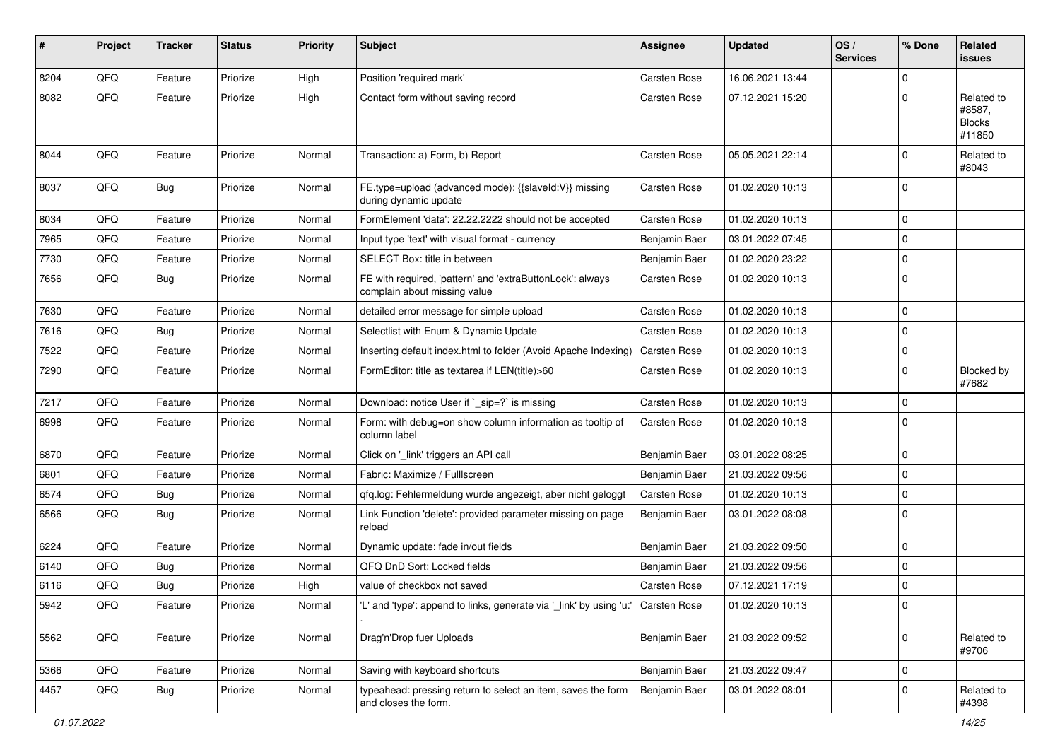| #    | Project | <b>Tracker</b> | <b>Status</b> | <b>Priority</b> | <b>Subject</b>                                                                            | <b>Assignee</b>     | <b>Updated</b>   | OS/<br><b>Services</b> | % Done      | Related<br><b>issues</b>                        |
|------|---------|----------------|---------------|-----------------|-------------------------------------------------------------------------------------------|---------------------|------------------|------------------------|-------------|-------------------------------------------------|
| 8204 | QFQ     | Feature        | Priorize      | High            | Position 'required mark'                                                                  | Carsten Rose        | 16.06.2021 13:44 |                        | $\mathbf 0$ |                                                 |
| 8082 | QFQ     | Feature        | Priorize      | High            | Contact form without saving record                                                        | <b>Carsten Rose</b> | 07.12.2021 15:20 |                        | $\mathbf 0$ | Related to<br>#8587,<br><b>Blocks</b><br>#11850 |
| 8044 | QFQ     | Feature        | Priorize      | Normal          | Transaction: a) Form, b) Report                                                           | Carsten Rose        | 05.05.2021 22:14 |                        | $\mathbf 0$ | Related to<br>#8043                             |
| 8037 | QFQ     | <b>Bug</b>     | Priorize      | Normal          | FE.type=upload (advanced mode): {{slaveld:V}} missing<br>during dynamic update            | Carsten Rose        | 01.02.2020 10:13 |                        | $\mathbf 0$ |                                                 |
| 8034 | QFQ     | Feature        | Priorize      | Normal          | FormElement 'data': 22.22.2222 should not be accepted                                     | Carsten Rose        | 01.02.2020 10:13 |                        | $\mathbf 0$ |                                                 |
| 7965 | QFQ     | Feature        | Priorize      | Normal          | Input type 'text' with visual format - currency                                           | Benjamin Baer       | 03.01.2022 07:45 |                        | $\mathbf 0$ |                                                 |
| 7730 | QFQ     | Feature        | Priorize      | Normal          | SELECT Box: title in between                                                              | Benjamin Baer       | 01.02.2020 23:22 |                        | $\mathbf 0$ |                                                 |
| 7656 | QFQ     | Bug            | Priorize      | Normal          | FE with required, 'pattern' and 'extraButtonLock': always<br>complain about missing value | Carsten Rose        | 01.02.2020 10:13 |                        | $\mathbf 0$ |                                                 |
| 7630 | QFQ     | Feature        | Priorize      | Normal          | detailed error message for simple upload                                                  | Carsten Rose        | 01.02.2020 10:13 |                        | $\mathbf 0$ |                                                 |
| 7616 | QFQ     | Bug            | Priorize      | Normal          | Selectlist with Enum & Dynamic Update                                                     | Carsten Rose        | 01.02.2020 10:13 |                        | $\mathbf 0$ |                                                 |
| 7522 | QFQ     | Feature        | Priorize      | Normal          | Inserting default index.html to folder (Avoid Apache Indexing)                            | <b>Carsten Rose</b> | 01.02.2020 10:13 |                        | $\mathbf 0$ |                                                 |
| 7290 | QFQ     | Feature        | Priorize      | Normal          | FormEditor: title as textarea if LEN(title)>60                                            | Carsten Rose        | 01.02.2020 10:13 |                        | $\mathbf 0$ | Blocked by<br>#7682                             |
| 7217 | QFQ     | Feature        | Priorize      | Normal          | Download: notice User if `_sip=?` is missing                                              | Carsten Rose        | 01.02.2020 10:13 |                        | $\mathbf 0$ |                                                 |
| 6998 | QFQ     | Feature        | Priorize      | Normal          | Form: with debug=on show column information as tooltip of<br>column label                 | Carsten Rose        | 01.02.2020 10:13 |                        | $\mathbf 0$ |                                                 |
| 6870 | QFQ     | Feature        | Priorize      | Normal          | Click on '_link' triggers an API call                                                     | Benjamin Baer       | 03.01.2022 08:25 |                        | $\mathbf 0$ |                                                 |
| 6801 | QFQ     | Feature        | Priorize      | Normal          | Fabric: Maximize / FullIscreen                                                            | Benjamin Baer       | 21.03.2022 09:56 |                        | $\mathbf 0$ |                                                 |
| 6574 | QFQ     | <b>Bug</b>     | Priorize      | Normal          | qfq.log: Fehlermeldung wurde angezeigt, aber nicht geloggt                                | Carsten Rose        | 01.02.2020 10:13 |                        | $\mathbf 0$ |                                                 |
| 6566 | QFQ     | Bug            | Priorize      | Normal          | Link Function 'delete': provided parameter missing on page<br>reload                      | Benjamin Baer       | 03.01.2022 08:08 |                        | $\mathbf 0$ |                                                 |
| 6224 | QFQ     | Feature        | Priorize      | Normal          | Dynamic update: fade in/out fields                                                        | Benjamin Baer       | 21.03.2022 09:50 |                        | $\mathbf 0$ |                                                 |
| 6140 | QFQ     | <b>Bug</b>     | Priorize      | Normal          | QFQ DnD Sort: Locked fields                                                               | Benjamin Baer       | 21.03.2022 09:56 |                        | $\mathbf 0$ |                                                 |
| 6116 | QFQ     | <b>Bug</b>     | Priorize      | High            | value of checkbox not saved                                                               | Carsten Rose        | 07.12.2021 17:19 |                        | $\mathbf 0$ |                                                 |
| 5942 | QFQ     | Feature        | Priorize      | Normal          | 'L' and 'type': append to links, generate via 'link' by using 'u:' Carsten Rose           |                     | 01.02.2020 10:13 |                        | 0           |                                                 |
| 5562 | QFO     | Feature        | Priorize      | Normal          | Drag'n'Drop fuer Uploads                                                                  | Benjamin Baer       | 21.03.2022 09:52 |                        | $\pmb{0}$   | Related to<br>#9706                             |
| 5366 | QFQ     | Feature        | Priorize      | Normal          | Saving with keyboard shortcuts                                                            | Benjamin Baer       | 21.03.2022 09:47 |                        | $\pmb{0}$   |                                                 |
| 4457 | QFQ     | <b>Bug</b>     | Priorize      | Normal          | typeahead: pressing return to select an item, saves the form<br>and closes the form.      | Benjamin Baer       | 03.01.2022 08:01 |                        | $\mathbf 0$ | Related to<br>#4398                             |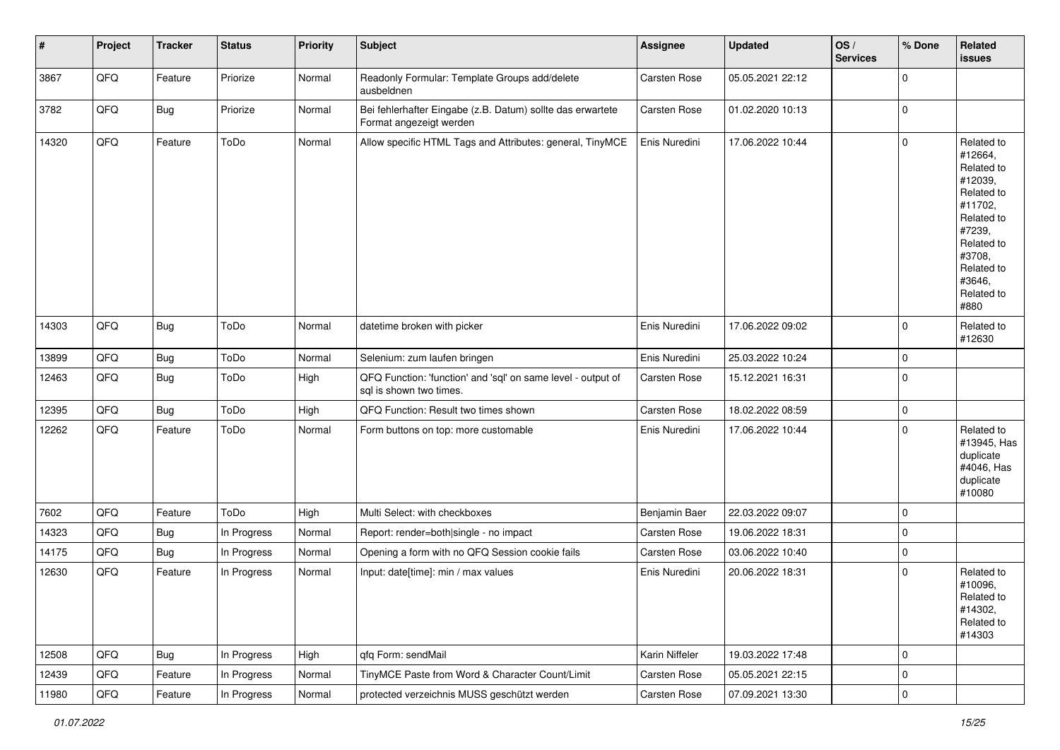| $\pmb{\#}$ | Project | <b>Tracker</b> | <b>Status</b> | <b>Priority</b> | <b>Subject</b>                                                                          | <b>Assignee</b>     | <b>Updated</b>   | OS/<br><b>Services</b> | % Done      | Related<br>issues                                                                                                                                                     |
|------------|---------|----------------|---------------|-----------------|-----------------------------------------------------------------------------------------|---------------------|------------------|------------------------|-------------|-----------------------------------------------------------------------------------------------------------------------------------------------------------------------|
| 3867       | QFQ     | Feature        | Priorize      | Normal          | Readonly Formular: Template Groups add/delete<br>ausbeldnen                             | Carsten Rose        | 05.05.2021 22:12 |                        | 0           |                                                                                                                                                                       |
| 3782       | QFQ     | Bug            | Priorize      | Normal          | Bei fehlerhafter Eingabe (z.B. Datum) sollte das erwartete<br>Format angezeigt werden   | Carsten Rose        | 01.02.2020 10:13 |                        | $\pmb{0}$   |                                                                                                                                                                       |
| 14320      | QFQ     | Feature        | ToDo          | Normal          | Allow specific HTML Tags and Attributes: general, TinyMCE                               | Enis Nuredini       | 17.06.2022 10:44 |                        | 0           | Related to<br>#12664,<br>Related to<br>#12039,<br>Related to<br>#11702,<br>Related to<br>#7239,<br>Related to<br>#3708,<br>Related to<br>#3646.<br>Related to<br>#880 |
| 14303      | QFQ     | Bug            | ToDo          | Normal          | datetime broken with picker                                                             | Enis Nuredini       | 17.06.2022 09:02 |                        | 0           | Related to<br>#12630                                                                                                                                                  |
| 13899      | QFQ     | Bug            | ToDo          | Normal          | Selenium: zum laufen bringen                                                            | Enis Nuredini       | 25.03.2022 10:24 |                        | 0           |                                                                                                                                                                       |
| 12463      | QFQ     | <b>Bug</b>     | ToDo          | High            | QFQ Function: 'function' and 'sql' on same level - output of<br>sql is shown two times. | Carsten Rose        | 15.12.2021 16:31 |                        | $\mathbf 0$ |                                                                                                                                                                       |
| 12395      | QFQ     | Bug            | ToDo          | High            | QFQ Function: Result two times shown                                                    | Carsten Rose        | 18.02.2022 08:59 |                        | $\pmb{0}$   |                                                                                                                                                                       |
| 12262      | QFQ     | Feature        | ToDo          | Normal          | Form buttons on top: more customable                                                    | Enis Nuredini       | 17.06.2022 10:44 |                        | $\mathbf 0$ | Related to<br>#13945, Has<br>duplicate<br>#4046, Has<br>duplicate<br>#10080                                                                                           |
| 7602       | QFQ     | Feature        | ToDo          | High            | Multi Select: with checkboxes                                                           | Benjamin Baer       | 22.03.2022 09:07 |                        | 0           |                                                                                                                                                                       |
| 14323      | QFQ     | Bug            | In Progress   | Normal          | Report: render=both single - no impact                                                  | <b>Carsten Rose</b> | 19.06.2022 18:31 |                        | $\mathbf 0$ |                                                                                                                                                                       |
| 14175      | QFQ     | Bug            | In Progress   | Normal          | Opening a form with no QFQ Session cookie fails                                         | Carsten Rose        | 03.06.2022 10:40 |                        | 0           |                                                                                                                                                                       |
| 12630      | QFQ     | Feature        | In Progress   | Normal          | Input: date[time]: min / max values                                                     | Enis Nuredini       | 20.06.2022 18:31 |                        | 0           | Related to<br>#10096,<br>Related to<br>#14302,<br>Related to<br>#14303                                                                                                |
| 12508      | QFQ     | Bug            | In Progress   | High            | qfq Form: sendMail                                                                      | Karin Niffeler      | 19.03.2022 17:48 |                        | $\mathbf 0$ |                                                                                                                                                                       |
| 12439      | QFQ     | Feature        | In Progress   | Normal          | TinyMCE Paste from Word & Character Count/Limit                                         | Carsten Rose        | 05.05.2021 22:15 |                        | $\pmb{0}$   |                                                                                                                                                                       |
| 11980      | QFQ     | Feature        | In Progress   | Normal          | protected verzeichnis MUSS geschützt werden                                             | Carsten Rose        | 07.09.2021 13:30 |                        | $\pmb{0}$   |                                                                                                                                                                       |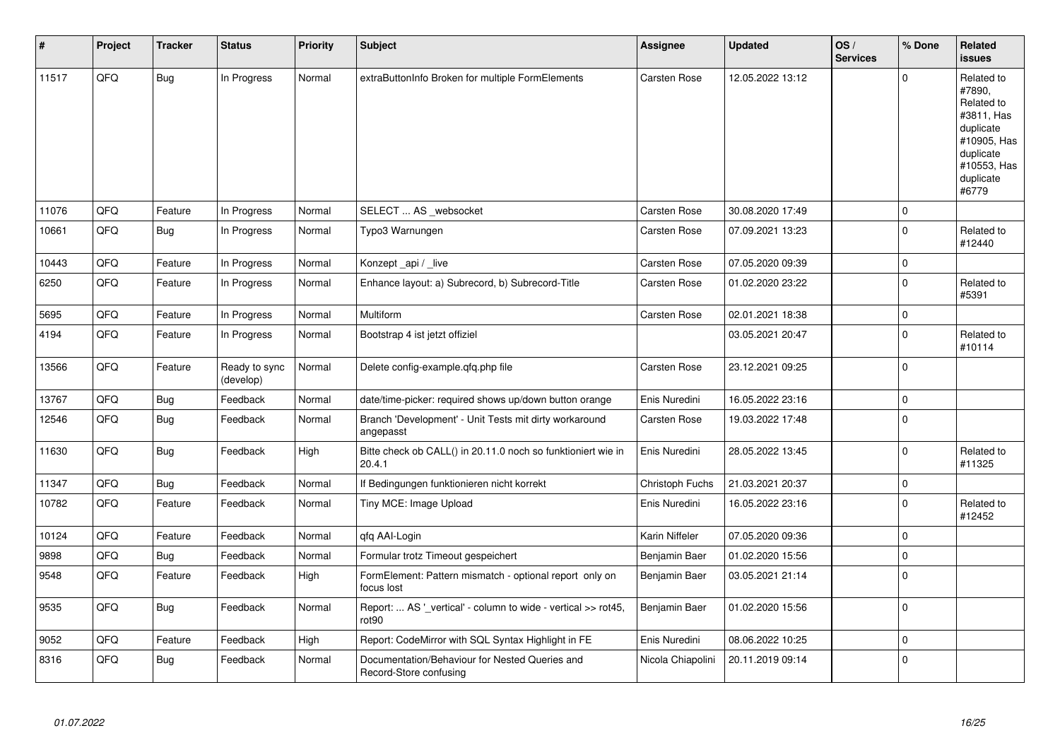| $\vert$ # | Project | <b>Tracker</b> | <b>Status</b>              | <b>Priority</b> | <b>Subject</b>                                                           | Assignee          | <b>Updated</b>   | OS/<br><b>Services</b> | % Done       | Related<br><b>issues</b>                                                                                                       |
|-----------|---------|----------------|----------------------------|-----------------|--------------------------------------------------------------------------|-------------------|------------------|------------------------|--------------|--------------------------------------------------------------------------------------------------------------------------------|
| 11517     | QFQ     | <b>Bug</b>     | In Progress                | Normal          | extraButtonInfo Broken for multiple FormElements                         | Carsten Rose      | 12.05.2022 13:12 |                        | $\Omega$     | Related to<br>#7890,<br>Related to<br>#3811, Has<br>duplicate<br>#10905, Has<br>duplicate<br>#10553, Has<br>duplicate<br>#6779 |
| 11076     | QFQ     | Feature        | In Progress                | Normal          | SELECT  AS _websocket                                                    | Carsten Rose      | 30.08.2020 17:49 |                        | $\mathbf 0$  |                                                                                                                                |
| 10661     | QFQ     | <b>Bug</b>     | In Progress                | Normal          | Typo3 Warnungen                                                          | Carsten Rose      | 07.09.2021 13:23 |                        | $\mathbf{0}$ | Related to<br>#12440                                                                                                           |
| 10443     | QFQ     | Feature        | In Progress                | Normal          | Konzept_api / _live                                                      | Carsten Rose      | 07.05.2020 09:39 |                        | $\mathbf 0$  |                                                                                                                                |
| 6250      | QFQ     | Feature        | In Progress                | Normal          | Enhance layout: a) Subrecord, b) Subrecord-Title                         | Carsten Rose      | 01.02.2020 23:22 |                        | $\mathbf 0$  | Related to<br>#5391                                                                                                            |
| 5695      | QFQ     | Feature        | In Progress                | Normal          | Multiform                                                                | Carsten Rose      | 02.01.2021 18:38 |                        | $\mathbf 0$  |                                                                                                                                |
| 4194      | QFQ     | Feature        | In Progress                | Normal          | Bootstrap 4 ist jetzt offiziel                                           |                   | 03.05.2021 20:47 |                        | $\mathbf{0}$ | Related to<br>#10114                                                                                                           |
| 13566     | QFQ     | Feature        | Ready to sync<br>(develop) | Normal          | Delete config-example.gfg.php file                                       | Carsten Rose      | 23.12.2021 09:25 |                        | $\mathbf 0$  |                                                                                                                                |
| 13767     | QFQ     | Bug            | Feedback                   | Normal          | date/time-picker: required shows up/down button orange                   | Enis Nuredini     | 16.05.2022 23:16 |                        | $\mathsf 0$  |                                                                                                                                |
| 12546     | QFQ     | <b>Bug</b>     | Feedback                   | Normal          | Branch 'Development' - Unit Tests mit dirty workaround<br>angepasst      | Carsten Rose      | 19.03.2022 17:48 |                        | $\mathbf 0$  |                                                                                                                                |
| 11630     | QFQ     | Bug            | Feedback                   | High            | Bitte check ob CALL() in 20.11.0 noch so funktioniert wie in<br>20.4.1   | Enis Nuredini     | 28.05.2022 13:45 |                        | $\mathbf{0}$ | Related to<br>#11325                                                                                                           |
| 11347     | QFQ     | Bug            | Feedback                   | Normal          | If Bedingungen funktionieren nicht korrekt                               | Christoph Fuchs   | 21.03.2021 20:37 |                        | $\pmb{0}$    |                                                                                                                                |
| 10782     | QFQ     | Feature        | Feedback                   | Normal          | Tiny MCE: Image Upload                                                   | Enis Nuredini     | 16.05.2022 23:16 |                        | $\mathbf{0}$ | Related to<br>#12452                                                                                                           |
| 10124     | QFQ     | Feature        | Feedback                   | Normal          | qfq AAI-Login                                                            | Karin Niffeler    | 07.05.2020 09:36 |                        | $\mathbf 0$  |                                                                                                                                |
| 9898      | QFQ     | Bug            | Feedback                   | Normal          | Formular trotz Timeout gespeichert                                       | Benjamin Baer     | 01.02.2020 15:56 |                        | $\pmb{0}$    |                                                                                                                                |
| 9548      | QFQ     | Feature        | Feedback                   | High            | FormElement: Pattern mismatch - optional report only on<br>focus lost    | Benjamin Baer     | 03.05.2021 21:14 |                        | $\mathbf 0$  |                                                                                                                                |
| 9535      | QFQ     | Bug            | Feedback                   | Normal          | Report:  AS '_vertical' - column to wide - vertical >> rot45,<br>rot90   | Benjamin Baer     | 01.02.2020 15:56 |                        | $\mathbf 0$  |                                                                                                                                |
| 9052      | QFQ     | Feature        | Feedback                   | High            | Report: CodeMirror with SQL Syntax Highlight in FE                       | Enis Nuredini     | 08.06.2022 10:25 |                        | $\mathbf 0$  |                                                                                                                                |
| 8316      | QFQ     | <b>Bug</b>     | Feedback                   | Normal          | Documentation/Behaviour for Nested Queries and<br>Record-Store confusing | Nicola Chiapolini | 20.11.2019 09:14 |                        | $\mathbf 0$  |                                                                                                                                |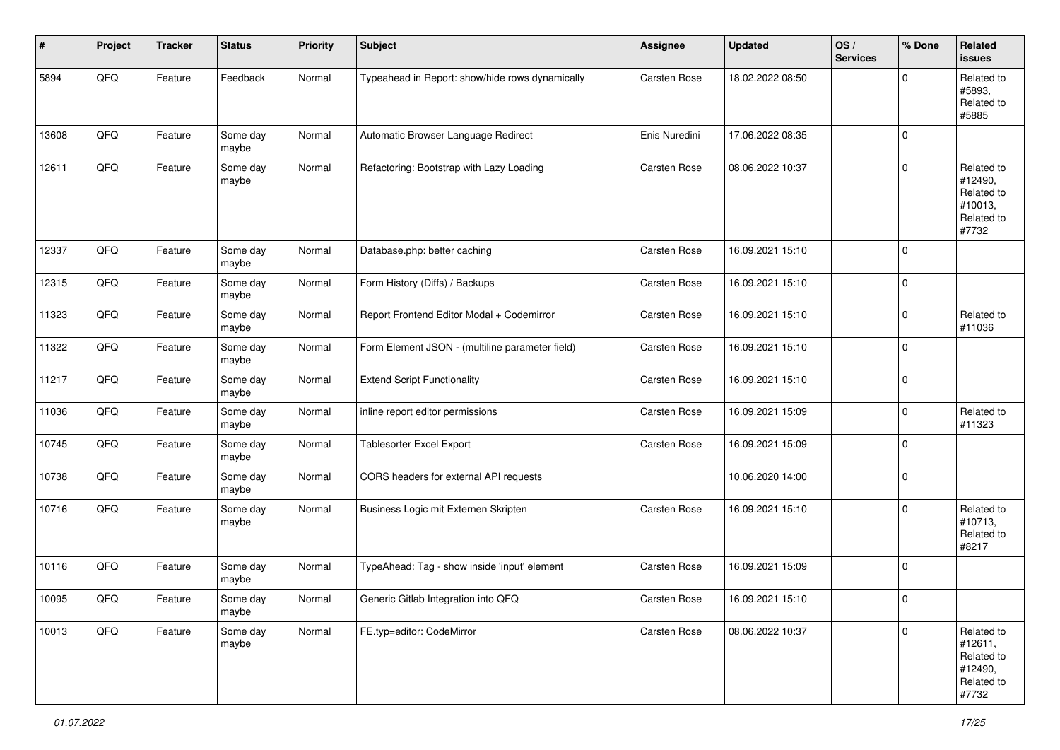| #     | Project | <b>Tracker</b> | <b>Status</b>     | <b>Priority</b> | <b>Subject</b>                                  | Assignee            | <b>Updated</b>   | OS/<br><b>Services</b> | % Done      | Related<br>issues                                                     |
|-------|---------|----------------|-------------------|-----------------|-------------------------------------------------|---------------------|------------------|------------------------|-------------|-----------------------------------------------------------------------|
| 5894  | QFQ     | Feature        | Feedback          | Normal          | Typeahead in Report: show/hide rows dynamically | Carsten Rose        | 18.02.2022 08:50 |                        | $\mathbf 0$ | Related to<br>#5893,<br>Related to<br>#5885                           |
| 13608 | QFQ     | Feature        | Some day<br>maybe | Normal          | Automatic Browser Language Redirect             | Enis Nuredini       | 17.06.2022 08:35 |                        | $\mathbf 0$ |                                                                       |
| 12611 | QFQ     | Feature        | Some day<br>maybe | Normal          | Refactoring: Bootstrap with Lazy Loading        | Carsten Rose        | 08.06.2022 10:37 |                        | $\mathbf 0$ | Related to<br>#12490,<br>Related to<br>#10013,<br>Related to<br>#7732 |
| 12337 | QFQ     | Feature        | Some day<br>maybe | Normal          | Database.php: better caching                    | <b>Carsten Rose</b> | 16.09.2021 15:10 |                        | $\mathbf 0$ |                                                                       |
| 12315 | QFQ     | Feature        | Some day<br>maybe | Normal          | Form History (Diffs) / Backups                  | <b>Carsten Rose</b> | 16.09.2021 15:10 |                        | $\mathbf 0$ |                                                                       |
| 11323 | QFQ     | Feature        | Some day<br>maybe | Normal          | Report Frontend Editor Modal + Codemirror       | Carsten Rose        | 16.09.2021 15:10 |                        | $\pmb{0}$   | Related to<br>#11036                                                  |
| 11322 | QFQ     | Feature        | Some day<br>maybe | Normal          | Form Element JSON - (multiline parameter field) | Carsten Rose        | 16.09.2021 15:10 |                        | $\mathbf 0$ |                                                                       |
| 11217 | QFQ     | Feature        | Some day<br>maybe | Normal          | <b>Extend Script Functionality</b>              | Carsten Rose        | 16.09.2021 15:10 |                        | $\mathbf 0$ |                                                                       |
| 11036 | QFQ     | Feature        | Some day<br>maybe | Normal          | inline report editor permissions                | Carsten Rose        | 16.09.2021 15:09 |                        | $\mathbf 0$ | Related to<br>#11323                                                  |
| 10745 | QFQ     | Feature        | Some day<br>maybe | Normal          | <b>Tablesorter Excel Export</b>                 | Carsten Rose        | 16.09.2021 15:09 |                        | 0           |                                                                       |
| 10738 | QFQ     | Feature        | Some day<br>maybe | Normal          | CORS headers for external API requests          |                     | 10.06.2020 14:00 |                        | $\mathbf 0$ |                                                                       |
| 10716 | QFQ     | Feature        | Some day<br>maybe | Normal          | Business Logic mit Externen Skripten            | <b>Carsten Rose</b> | 16.09.2021 15:10 |                        | $\mathbf 0$ | Related to<br>#10713,<br>Related to<br>#8217                          |
| 10116 | QFQ     | Feature        | Some day<br>maybe | Normal          | TypeAhead: Tag - show inside 'input' element    | Carsten Rose        | 16.09.2021 15:09 |                        | $\mathbf 0$ |                                                                       |
| 10095 | QFQ     | Feature        | Some day<br>maybe | Normal          | Generic Gitlab Integration into QFQ             | Carsten Rose        | 16.09.2021 15:10 |                        | $\pmb{0}$   |                                                                       |
| 10013 | QFQ     | Feature        | Some day<br>maybe | Normal          | FE.typ=editor: CodeMirror                       | Carsten Rose        | 08.06.2022 10:37 |                        | $\pmb{0}$   | Related to<br>#12611,<br>Related to<br>#12490,<br>Related to<br>#7732 |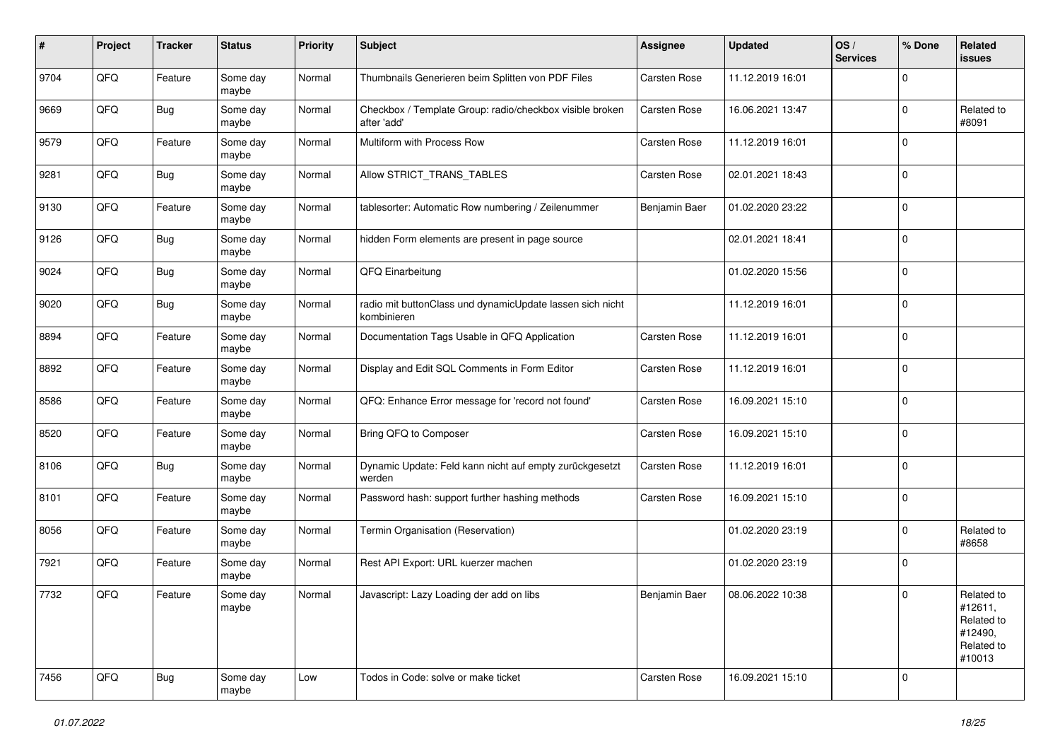| #    | Project | <b>Tracker</b> | <b>Status</b>     | <b>Priority</b> | <b>Subject</b>                                                           | <b>Assignee</b>      | <b>Updated</b>   | OS/<br><b>Services</b> | % Done      | <b>Related</b><br>issues                                               |
|------|---------|----------------|-------------------|-----------------|--------------------------------------------------------------------------|----------------------|------------------|------------------------|-------------|------------------------------------------------------------------------|
| 9704 | QFQ     | Feature        | Some day<br>maybe | Normal          | Thumbnails Generieren beim Splitten von PDF Files                        | Carsten Rose         | 11.12.2019 16:01 |                        | $\Omega$    |                                                                        |
| 9669 | QFQ     | <b>Bug</b>     | Some day<br>maybe | Normal          | Checkbox / Template Group: radio/checkbox visible broken<br>after 'add'  | Carsten Rose         | 16.06.2021 13:47 |                        | $\mathbf 0$ | Related to<br>#8091                                                    |
| 9579 | QFQ     | Feature        | Some day<br>maybe | Normal          | Multiform with Process Row                                               | Carsten Rose         | 11.12.2019 16:01 |                        | $\Omega$    |                                                                        |
| 9281 | QFQ     | <b>Bug</b>     | Some day<br>maybe | Normal          | Allow STRICT_TRANS_TABLES                                                | Carsten Rose         | 02.01.2021 18:43 |                        | $\mathbf 0$ |                                                                        |
| 9130 | QFQ     | Feature        | Some day<br>maybe | Normal          | tablesorter: Automatic Row numbering / Zeilenummer                       | Benjamin Baer        | 01.02.2020 23:22 |                        | $\mathbf 0$ |                                                                        |
| 9126 | QFQ     | <b>Bug</b>     | Some day<br>maybe | Normal          | hidden Form elements are present in page source                          |                      | 02.01.2021 18:41 |                        | $\Omega$    |                                                                        |
| 9024 | QFQ     | <b>Bug</b>     | Some day<br>maybe | Normal          | QFQ Einarbeitung                                                         |                      | 01.02.2020 15:56 |                        | $\mathbf 0$ |                                                                        |
| 9020 | QFQ     | Bug            | Some day<br>maybe | Normal          | radio mit buttonClass und dynamicUpdate lassen sich nicht<br>kombinieren |                      | 11.12.2019 16:01 |                        | $\mathbf 0$ |                                                                        |
| 8894 | QFQ     | Feature        | Some day<br>maybe | Normal          | Documentation Tags Usable in QFQ Application                             | Carsten Rose         | 11.12.2019 16:01 |                        | $\mathbf 0$ |                                                                        |
| 8892 | QFQ     | Feature        | Some day<br>maybe | Normal          | Display and Edit SQL Comments in Form Editor                             | Carsten Rose         | 11.12.2019 16:01 |                        | $\mathbf 0$ |                                                                        |
| 8586 | QFQ     | Feature        | Some day<br>maybe | Normal          | QFQ: Enhance Error message for 'record not found'                        | Carsten Rose         | 16.09.2021 15:10 |                        | $\mathbf 0$ |                                                                        |
| 8520 | QFQ     | Feature        | Some day<br>maybe | Normal          | Bring QFQ to Composer                                                    | Carsten Rose         | 16.09.2021 15:10 |                        | $\mathbf 0$ |                                                                        |
| 8106 | QFQ     | <b>Bug</b>     | Some day<br>maybe | Normal          | Dynamic Update: Feld kann nicht auf empty zurückgesetzt<br>werden        | Carsten Rose         | 11.12.2019 16:01 |                        | $\Omega$    |                                                                        |
| 8101 | QFQ     | Feature        | Some day<br>maybe | Normal          | Password hash: support further hashing methods                           | Carsten Rose         | 16.09.2021 15:10 |                        | $\mathbf 0$ |                                                                        |
| 8056 | QFQ     | Feature        | Some day<br>maybe | Normal          | Termin Organisation (Reservation)                                        |                      | 01.02.2020 23:19 |                        | $\mathbf 0$ | Related to<br>#8658                                                    |
| 7921 | QFQ     | Feature        | Some day<br>maybe | Normal          | Rest API Export: URL kuerzer machen                                      |                      | 01.02.2020 23:19 |                        | $\mathbf 0$ |                                                                        |
| 7732 | QFQ     | Feature        | Some day<br>maybe | Normal          | Javascript: Lazy Loading der add on libs                                 | <b>Beniamin Baer</b> | 08.06.2022 10:38 |                        | $\mathbf 0$ | Related to<br>#12611,<br>Related to<br>#12490,<br>Related to<br>#10013 |
| 7456 | QFQ     | Bug            | Some day<br>maybe | Low             | Todos in Code: solve or make ticket                                      | Carsten Rose         | 16.09.2021 15:10 |                        | $\Omega$    |                                                                        |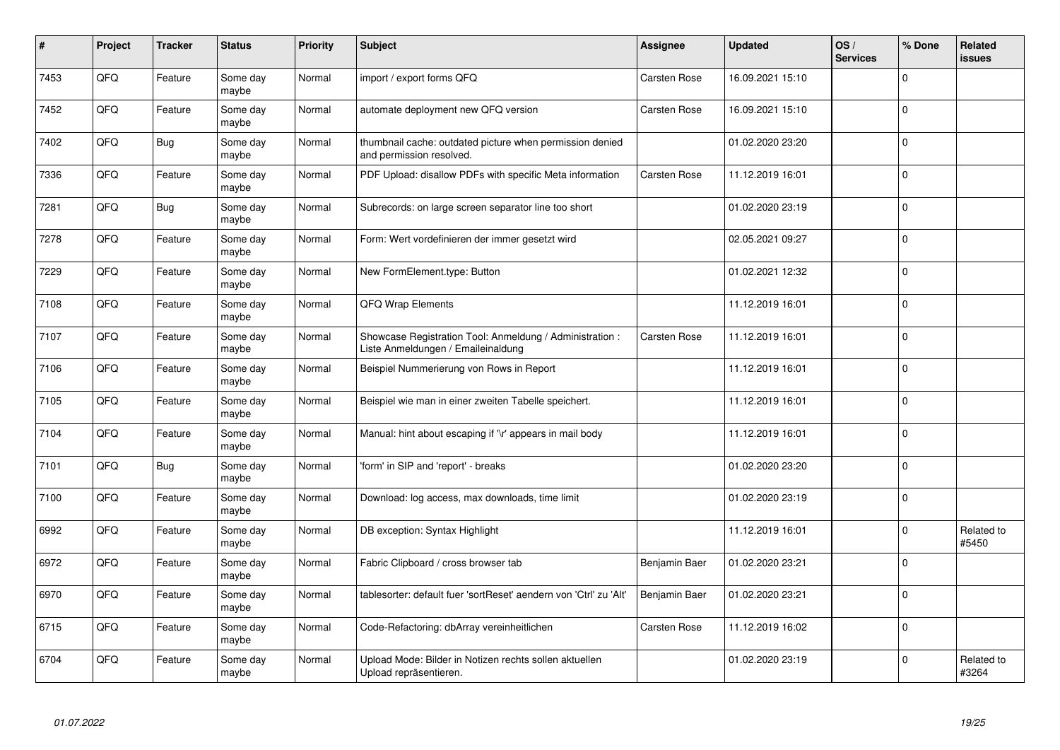| #    | Project | <b>Tracker</b> | <b>Status</b>     | <b>Priority</b> | <b>Subject</b>                                                                                 | Assignee      | <b>Updated</b>   | OS/<br><b>Services</b> | % Done       | Related<br><b>issues</b> |
|------|---------|----------------|-------------------|-----------------|------------------------------------------------------------------------------------------------|---------------|------------------|------------------------|--------------|--------------------------|
| 7453 | QFQ     | Feature        | Some day<br>maybe | Normal          | import / export forms QFQ                                                                      | Carsten Rose  | 16.09.2021 15:10 |                        | $\mathbf 0$  |                          |
| 7452 | QFQ     | Feature        | Some day<br>maybe | Normal          | automate deployment new QFQ version                                                            | Carsten Rose  | 16.09.2021 15:10 |                        | $\mathbf 0$  |                          |
| 7402 | QFQ     | <b>Bug</b>     | Some day<br>maybe | Normal          | thumbnail cache: outdated picture when permission denied<br>and permission resolved.           |               | 01.02.2020 23:20 |                        | $\mathbf 0$  |                          |
| 7336 | QFQ     | Feature        | Some day<br>maybe | Normal          | PDF Upload: disallow PDFs with specific Meta information                                       | Carsten Rose  | 11.12.2019 16:01 |                        | $\mathbf{0}$ |                          |
| 7281 | QFQ     | Bug            | Some day<br>maybe | Normal          | Subrecords: on large screen separator line too short                                           |               | 01.02.2020 23:19 |                        | $\mathbf 0$  |                          |
| 7278 | QFQ     | Feature        | Some day<br>maybe | Normal          | Form: Wert vordefinieren der immer gesetzt wird                                                |               | 02.05.2021 09:27 |                        | $\pmb{0}$    |                          |
| 7229 | QFQ     | Feature        | Some day<br>maybe | Normal          | New FormElement.type: Button                                                                   |               | 01.02.2021 12:32 |                        | $\mathbf 0$  |                          |
| 7108 | QFQ     | Feature        | Some day<br>maybe | Normal          | QFQ Wrap Elements                                                                              |               | 11.12.2019 16:01 |                        | $\mathbf{0}$ |                          |
| 7107 | QFQ     | Feature        | Some day<br>maybe | Normal          | Showcase Registration Tool: Anmeldung / Administration :<br>Liste Anmeldungen / Emaileinaldung | Carsten Rose  | 11.12.2019 16:01 |                        | $\mathbf 0$  |                          |
| 7106 | QFQ     | Feature        | Some day<br>maybe | Normal          | Beispiel Nummerierung von Rows in Report                                                       |               | 11.12.2019 16:01 |                        | $\mathbf 0$  |                          |
| 7105 | QFQ     | Feature        | Some day<br>maybe | Normal          | Beispiel wie man in einer zweiten Tabelle speichert.                                           |               | 11.12.2019 16:01 |                        | $\mathbf{0}$ |                          |
| 7104 | QFQ     | Feature        | Some day<br>maybe | Normal          | Manual: hint about escaping if '\r' appears in mail body                                       |               | 11.12.2019 16:01 |                        | $\mathbf{0}$ |                          |
| 7101 | QFQ     | <b>Bug</b>     | Some day<br>maybe | Normal          | 'form' in SIP and 'report' - breaks                                                            |               | 01.02.2020 23:20 |                        | $\mathbf 0$  |                          |
| 7100 | QFQ     | Feature        | Some day<br>maybe | Normal          | Download: log access, max downloads, time limit                                                |               | 01.02.2020 23:19 |                        | $\mathbf 0$  |                          |
| 6992 | QFQ     | Feature        | Some day<br>maybe | Normal          | DB exception: Syntax Highlight                                                                 |               | 11.12.2019 16:01 |                        | $\Omega$     | Related to<br>#5450      |
| 6972 | QFQ     | Feature        | Some day<br>maybe | Normal          | Fabric Clipboard / cross browser tab                                                           | Benjamin Baer | 01.02.2020 23:21 |                        | $\mathbf{0}$ |                          |
| 6970 | QFQ     | Feature        | Some day<br>maybe | Normal          | tablesorter: default fuer 'sortReset' aendern von 'Ctrl' zu 'Alt'                              | Benjamin Baer | 01.02.2020 23:21 |                        | $\mathbf{0}$ |                          |
| 6715 | QFQ     | Feature        | Some day<br>maybe | Normal          | Code-Refactoring: dbArray vereinheitlichen                                                     | Carsten Rose  | 11.12.2019 16:02 |                        | $\mathbf 0$  |                          |
| 6704 | QFQ     | Feature        | Some day<br>maybe | Normal          | Upload Mode: Bilder in Notizen rechts sollen aktuellen<br>Upload repräsentieren.               |               | 01.02.2020 23:19 |                        | $\mathbf 0$  | Related to<br>#3264      |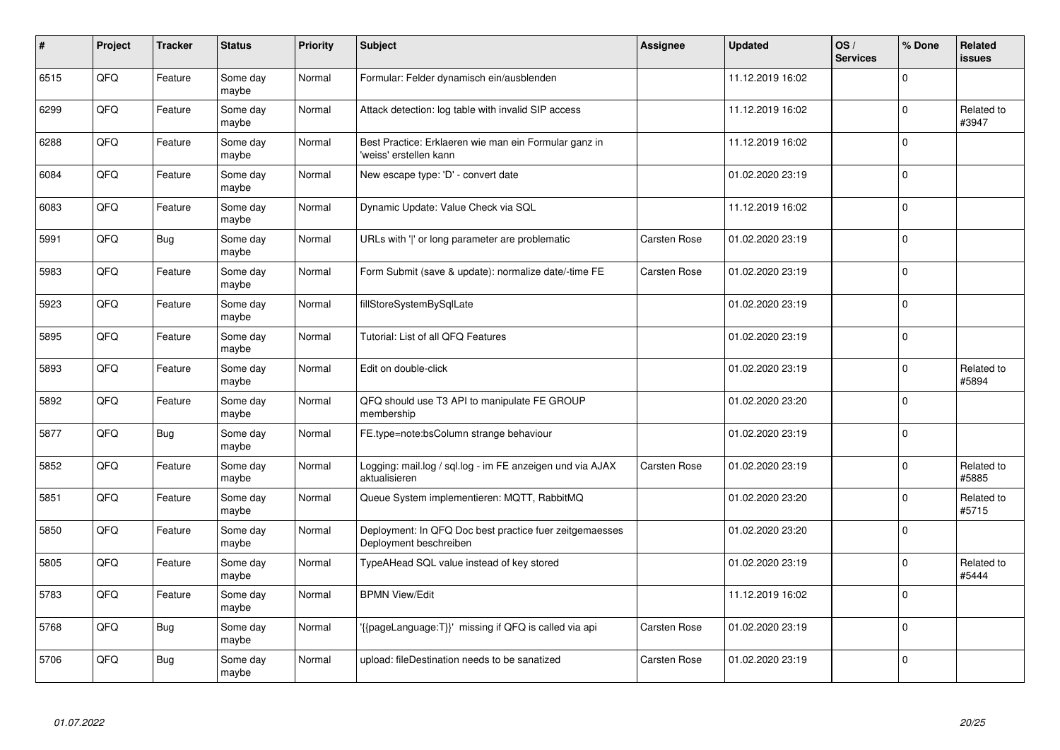| #    | Project | <b>Tracker</b> | <b>Status</b>     | <b>Priority</b> | <b>Subject</b>                                                                    | Assignee     | <b>Updated</b>   | OS/<br><b>Services</b> | % Done       | Related<br><b>issues</b> |
|------|---------|----------------|-------------------|-----------------|-----------------------------------------------------------------------------------|--------------|------------------|------------------------|--------------|--------------------------|
| 6515 | QFQ     | Feature        | Some day<br>maybe | Normal          | Formular: Felder dynamisch ein/ausblenden                                         |              | 11.12.2019 16:02 |                        | $\mathbf 0$  |                          |
| 6299 | QFQ     | Feature        | Some day<br>maybe | Normal          | Attack detection: log table with invalid SIP access                               |              | 11.12.2019 16:02 |                        | $\mathbf 0$  | Related to<br>#3947      |
| 6288 | QFQ     | Feature        | Some day<br>maybe | Normal          | Best Practice: Erklaeren wie man ein Formular ganz in<br>'weiss' erstellen kann   |              | 11.12.2019 16:02 |                        | $\mathbf 0$  |                          |
| 6084 | QFQ     | Feature        | Some day<br>maybe | Normal          | New escape type: 'D' - convert date                                               |              | 01.02.2020 23:19 |                        | $\Omega$     |                          |
| 6083 | QFQ     | Feature        | Some day<br>maybe | Normal          | Dynamic Update: Value Check via SQL                                               |              | 11.12.2019 16:02 |                        | $\mathbf 0$  |                          |
| 5991 | QFQ     | Bug            | Some dav<br>maybe | Normal          | URLs with ' ' or long parameter are problematic                                   | Carsten Rose | 01.02.2020 23:19 |                        | $\mathbf 0$  |                          |
| 5983 | QFQ     | Feature        | Some day<br>maybe | Normal          | Form Submit (save & update): normalize date/-time FE                              | Carsten Rose | 01.02.2020 23:19 |                        | $\mathbf 0$  |                          |
| 5923 | QFQ     | Feature        | Some day<br>maybe | Normal          | fillStoreSystemBySqlLate                                                          |              | 01.02.2020 23:19 |                        | $\Omega$     |                          |
| 5895 | QFQ     | Feature        | Some day<br>maybe | Normal          | Tutorial: List of all QFQ Features                                                |              | 01.02.2020 23:19 |                        | $\mathbf 0$  |                          |
| 5893 | QFQ     | Feature        | Some day<br>maybe | Normal          | Edit on double-click                                                              |              | 01.02.2020 23:19 |                        | $\mathbf 0$  | Related to<br>#5894      |
| 5892 | QFQ     | Feature        | Some day<br>maybe | Normal          | QFQ should use T3 API to manipulate FE GROUP<br>membership                        |              | 01.02.2020 23:20 |                        | $\mathbf{0}$ |                          |
| 5877 | QFQ     | <b>Bug</b>     | Some dav<br>maybe | Normal          | FE.type=note:bsColumn strange behaviour                                           |              | 01.02.2020 23:19 |                        | $\mathbf{0}$ |                          |
| 5852 | QFQ     | Feature        | Some day<br>maybe | Normal          | Logging: mail.log / sql.log - im FE anzeigen und via AJAX<br>aktualisieren        | Carsten Rose | 01.02.2020 23:19 |                        | $\mathbf 0$  | Related to<br>#5885      |
| 5851 | QFQ     | Feature        | Some day<br>maybe | Normal          | Queue System implementieren: MQTT, RabbitMQ                                       |              | 01.02.2020 23:20 |                        | $\pmb{0}$    | Related to<br>#5715      |
| 5850 | QFQ     | Feature        | Some day<br>maybe | Normal          | Deployment: In QFQ Doc best practice fuer zeitgemaesses<br>Deployment beschreiben |              | 01.02.2020 23:20 |                        | $\mathbf{0}$ |                          |
| 5805 | QFQ     | Feature        | Some day<br>maybe | Normal          | TypeAHead SQL value instead of key stored                                         |              | 01.02.2020 23:19 |                        | $\mathbf{0}$ | Related to<br>#5444      |
| 5783 | QFQ     | Feature        | Some day<br>maybe | Normal          | <b>BPMN View/Edit</b>                                                             |              | 11.12.2019 16:02 |                        | $\mathbf{0}$ |                          |
| 5768 | QFQ     | <b>Bug</b>     | Some day<br>maybe | Normal          | '{{pageLanguage:T}}' missing if QFQ is called via api                             | Carsten Rose | 01.02.2020 23:19 |                        | $\mathbf 0$  |                          |
| 5706 | QFQ     | <b>Bug</b>     | Some day<br>maybe | Normal          | upload: fileDestination needs to be sanatized                                     | Carsten Rose | 01.02.2020 23:19 |                        | $\mathbf 0$  |                          |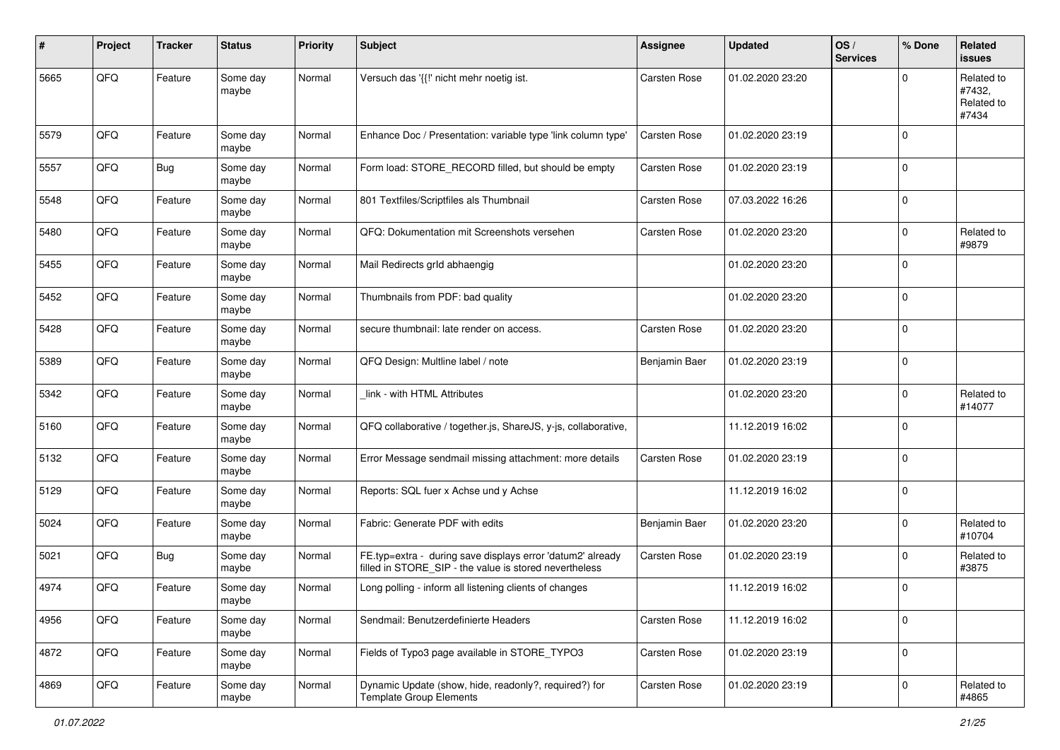| #    | Project | <b>Tracker</b> | <b>Status</b>     | <b>Priority</b> | <b>Subject</b>                                                                                                       | <b>Assignee</b>     | <b>Updated</b>   | OS/<br><b>Services</b> | % Done      | Related<br><b>issues</b>                    |
|------|---------|----------------|-------------------|-----------------|----------------------------------------------------------------------------------------------------------------------|---------------------|------------------|------------------------|-------------|---------------------------------------------|
| 5665 | QFQ     | Feature        | Some day<br>maybe | Normal          | Versuch das '{{!' nicht mehr noetig ist.                                                                             | Carsten Rose        | 01.02.2020 23:20 |                        | $\Omega$    | Related to<br>#7432,<br>Related to<br>#7434 |
| 5579 | QFQ     | Feature        | Some day<br>maybe | Normal          | Enhance Doc / Presentation: variable type 'link column type'                                                         | Carsten Rose        | 01.02.2020 23:19 |                        | $\mathbf 0$ |                                             |
| 5557 | QFQ     | Bug            | Some day<br>maybe | Normal          | Form load: STORE_RECORD filled, but should be empty                                                                  | Carsten Rose        | 01.02.2020 23:19 |                        | $\mathbf 0$ |                                             |
| 5548 | QFQ     | Feature        | Some day<br>maybe | Normal          | 801 Textfiles/Scriptfiles als Thumbnail                                                                              | Carsten Rose        | 07.03.2022 16:26 |                        | $\mathbf 0$ |                                             |
| 5480 | QFQ     | Feature        | Some day<br>maybe | Normal          | QFQ: Dokumentation mit Screenshots versehen                                                                          | <b>Carsten Rose</b> | 01.02.2020 23:20 |                        | $\mathbf 0$ | Related to<br>#9879                         |
| 5455 | QFQ     | Feature        | Some day<br>maybe | Normal          | Mail Redirects grld abhaengig                                                                                        |                     | 01.02.2020 23:20 |                        | $\mathbf 0$ |                                             |
| 5452 | QFQ     | Feature        | Some day<br>maybe | Normal          | Thumbnails from PDF: bad quality                                                                                     |                     | 01.02.2020 23:20 |                        | $\mathbf 0$ |                                             |
| 5428 | QFQ     | Feature        | Some day<br>maybe | Normal          | secure thumbnail: late render on access.                                                                             | Carsten Rose        | 01.02.2020 23:20 |                        | $\mathbf 0$ |                                             |
| 5389 | QFQ     | Feature        | Some day<br>maybe | Normal          | QFQ Design: Multline label / note                                                                                    | Benjamin Baer       | 01.02.2020 23:19 |                        | $\mathbf 0$ |                                             |
| 5342 | QFQ     | Feature        | Some day<br>maybe | Normal          | link - with HTML Attributes                                                                                          |                     | 01.02.2020 23:20 |                        | $\mathbf 0$ | Related to<br>#14077                        |
| 5160 | QFQ     | Feature        | Some day<br>maybe | Normal          | QFQ collaborative / together.js, ShareJS, y-js, collaborative,                                                       |                     | 11.12.2019 16:02 |                        | $\mathbf 0$ |                                             |
| 5132 | QFQ     | Feature        | Some day<br>maybe | Normal          | Error Message sendmail missing attachment: more details                                                              | Carsten Rose        | 01.02.2020 23:19 |                        | $\mathbf 0$ |                                             |
| 5129 | QFQ     | Feature        | Some day<br>maybe | Normal          | Reports: SQL fuer x Achse und y Achse                                                                                |                     | 11.12.2019 16:02 |                        | $\mathbf 0$ |                                             |
| 5024 | QFQ     | Feature        | Some day<br>maybe | Normal          | Fabric: Generate PDF with edits                                                                                      | Benjamin Baer       | 01.02.2020 23:20 |                        | $\mathbf 0$ | Related to<br>#10704                        |
| 5021 | QFQ     | <b>Bug</b>     | Some day<br>maybe | Normal          | FE.typ=extra - during save displays error 'datum2' already<br>filled in STORE_SIP - the value is stored nevertheless | Carsten Rose        | 01.02.2020 23:19 |                        | $\mathbf 0$ | Related to<br>#3875                         |
| 4974 | QFQ     | Feature        | Some day<br>maybe | Normal          | Long polling - inform all listening clients of changes                                                               |                     | 11.12.2019 16:02 |                        | $\mathbf 0$ |                                             |
| 4956 | QFQ     | Feature        | Some day<br>maybe | Normal          | Sendmail: Benutzerdefinierte Headers                                                                                 | Carsten Rose        | 11.12.2019 16:02 |                        | $\mathbf 0$ |                                             |
| 4872 | QFQ     | Feature        | Some day<br>maybe | Normal          | Fields of Typo3 page available in STORE_TYPO3                                                                        | Carsten Rose        | 01.02.2020 23:19 |                        | $\mathbf 0$ |                                             |
| 4869 | QFQ     | Feature        | Some day<br>maybe | Normal          | Dynamic Update (show, hide, readonly?, required?) for<br><b>Template Group Elements</b>                              | Carsten Rose        | 01.02.2020 23:19 |                        | $\pmb{0}$   | Related to<br>#4865                         |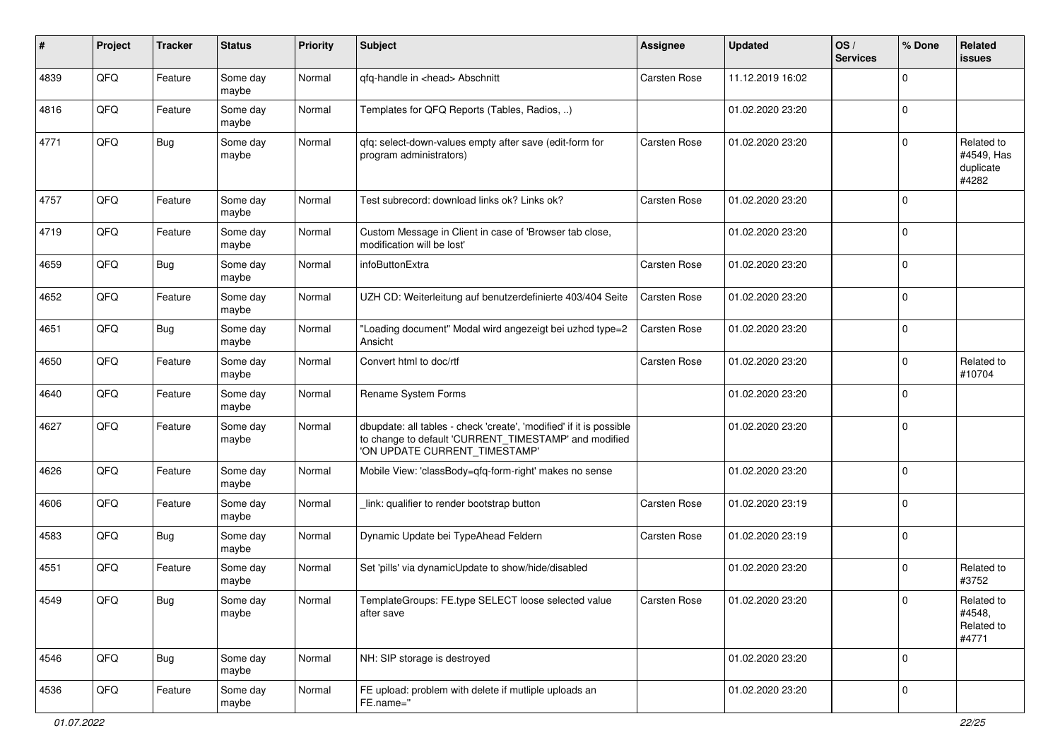| ∦    | Project        | <b>Tracker</b> | <b>Status</b>     | <b>Priority</b> | Subject                                                                                                                                                       | <b>Assignee</b>     | <b>Updated</b>   | OS/<br><b>Services</b> | % Done      | <b>Related</b><br><b>issues</b>                |
|------|----------------|----------------|-------------------|-----------------|---------------------------------------------------------------------------------------------------------------------------------------------------------------|---------------------|------------------|------------------------|-------------|------------------------------------------------|
| 4839 | QFQ            | Feature        | Some day<br>maybe | Normal          | qfq-handle in <head> Abschnitt</head>                                                                                                                         | <b>Carsten Rose</b> | 11.12.2019 16:02 |                        | $\Omega$    |                                                |
| 4816 | QFQ            | Feature        | Some day<br>maybe | Normal          | Templates for QFQ Reports (Tables, Radios, )                                                                                                                  |                     | 01.02.2020 23:20 |                        | $\mathbf 0$ |                                                |
| 4771 | QFQ            | Bug            | Some day<br>maybe | Normal          | qfq: select-down-values empty after save (edit-form for<br>program administrators)                                                                            | Carsten Rose        | 01.02.2020 23:20 |                        | $\Omega$    | Related to<br>#4549, Has<br>duplicate<br>#4282 |
| 4757 | QFQ            | Feature        | Some day<br>maybe | Normal          | Test subrecord: download links ok? Links ok?                                                                                                                  | Carsten Rose        | 01.02.2020 23:20 |                        | $\mathbf 0$ |                                                |
| 4719 | QFQ            | Feature        | Some day<br>maybe | Normal          | Custom Message in Client in case of 'Browser tab close,<br>modification will be lost'                                                                         |                     | 01.02.2020 23:20 |                        | $\Omega$    |                                                |
| 4659 | QFQ            | Bug            | Some day<br>maybe | Normal          | infoButtonExtra                                                                                                                                               | Carsten Rose        | 01.02.2020 23:20 |                        | $\mathbf 0$ |                                                |
| 4652 | QFQ            | Feature        | Some day<br>maybe | Normal          | UZH CD: Weiterleitung auf benutzerdefinierte 403/404 Seite                                                                                                    | Carsten Rose        | 01.02.2020 23:20 |                        | $\Omega$    |                                                |
| 4651 | QFQ            | Bug            | Some day<br>maybe | Normal          | "Loading document" Modal wird angezeigt bei uzhcd type=2<br>Ansicht                                                                                           | Carsten Rose        | 01.02.2020 23:20 |                        | $\Omega$    |                                                |
| 4650 | QFQ            | Feature        | Some day<br>maybe | Normal          | Convert html to doc/rtf                                                                                                                                       | Carsten Rose        | 01.02.2020 23:20 |                        | $\Omega$    | Related to<br>#10704                           |
| 4640 | QFQ            | Feature        | Some day<br>maybe | Normal          | Rename System Forms                                                                                                                                           |                     | 01.02.2020 23:20 |                        | $\mathbf 0$ |                                                |
| 4627 | QFQ            | Feature        | Some day<br>maybe | Normal          | dbupdate: all tables - check 'create', 'modified' if it is possible<br>to change to default 'CURRENT_TIMESTAMP' and modified<br>'ON UPDATE CURRENT_TIMESTAMP' |                     | 01.02.2020 23:20 |                        | $\mathbf 0$ |                                                |
| 4626 | QFQ            | Feature        | Some day<br>maybe | Normal          | Mobile View: 'classBody=qfq-form-right' makes no sense                                                                                                        |                     | 01.02.2020 23:20 |                        | $\mathbf 0$ |                                                |
| 4606 | QFQ            | Feature        | Some day<br>maybe | Normal          | link: qualifier to render bootstrap button                                                                                                                    | Carsten Rose        | 01.02.2020 23:19 |                        | $\mathbf 0$ |                                                |
| 4583 | QFQ            | <b>Bug</b>     | Some day<br>maybe | Normal          | Dynamic Update bei TypeAhead Feldern                                                                                                                          | Carsten Rose        | 01.02.2020 23:19 |                        | $\Omega$    |                                                |
| 4551 | QFQ            | Feature        | Some day<br>maybe | Normal          | Set 'pills' via dynamicUpdate to show/hide/disabled                                                                                                           |                     | 01.02.2020 23:20 |                        | $\mathbf 0$ | Related to<br>#3752                            |
| 4549 | $\mathsf{QFQ}$ | <b>Bug</b>     | Some day<br>maybe | Normal          | TemplateGroups: FE.type SELECT loose selected value<br>after save                                                                                             | Carsten Rose        | 01.02.2020 23:20 |                        | 0           | Related to<br>#4548,<br>Related to<br>#4771    |
| 4546 | QFQ            | <b>Bug</b>     | Some day<br>maybe | Normal          | NH: SIP storage is destroyed                                                                                                                                  |                     | 01.02.2020 23:20 |                        | $\Omega$    |                                                |
| 4536 | QFQ            | Feature        | Some day<br>maybe | Normal          | FE upload: problem with delete if mutliple uploads an<br>FE.name="                                                                                            |                     | 01.02.2020 23:20 |                        | $\mathbf 0$ |                                                |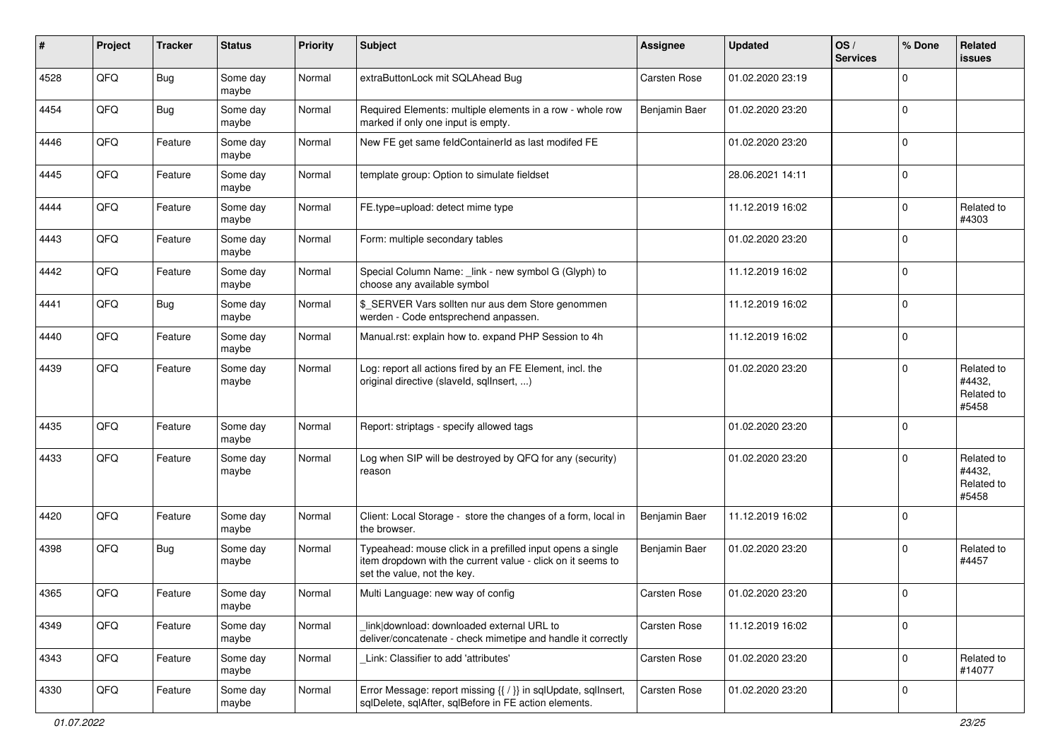| #    | Project | <b>Tracker</b> | <b>Status</b>     | <b>Priority</b> | <b>Subject</b>                                                                                                                                           | <b>Assignee</b> | <b>Updated</b>   | OS/<br><b>Services</b> | % Done      | Related<br><b>issues</b>                    |
|------|---------|----------------|-------------------|-----------------|----------------------------------------------------------------------------------------------------------------------------------------------------------|-----------------|------------------|------------------------|-------------|---------------------------------------------|
| 4528 | QFQ     | Bug            | Some day<br>maybe | Normal          | extraButtonLock mit SQLAhead Bug                                                                                                                         | Carsten Rose    | 01.02.2020 23:19 |                        | $\mathbf 0$ |                                             |
| 4454 | QFQ     | <b>Bug</b>     | Some day<br>maybe | Normal          | Required Elements: multiple elements in a row - whole row<br>marked if only one input is empty.                                                          | Benjamin Baer   | 01.02.2020 23:20 |                        | $\mathbf 0$ |                                             |
| 4446 | QFQ     | Feature        | Some day<br>maybe | Normal          | New FE get same feldContainerId as last modifed FE                                                                                                       |                 | 01.02.2020 23:20 |                        | $\mathbf 0$ |                                             |
| 4445 | QFQ     | Feature        | Some day<br>maybe | Normal          | template group: Option to simulate fieldset                                                                                                              |                 | 28.06.2021 14:11 |                        | $\mathbf 0$ |                                             |
| 4444 | QFQ     | Feature        | Some day<br>maybe | Normal          | FE.type=upload: detect mime type                                                                                                                         |                 | 11.12.2019 16:02 |                        | $\mathbf 0$ | Related to<br>#4303                         |
| 4443 | QFQ     | Feature        | Some day<br>maybe | Normal          | Form: multiple secondary tables                                                                                                                          |                 | 01.02.2020 23:20 |                        | $\mathbf 0$ |                                             |
| 4442 | QFQ     | Feature        | Some day<br>maybe | Normal          | Special Column Name: _link - new symbol G (Glyph) to<br>choose any available symbol                                                                      |                 | 11.12.2019 16:02 |                        | $\mathbf 0$ |                                             |
| 4441 | QFQ     | <b>Bug</b>     | Some day<br>maybe | Normal          | \$_SERVER Vars sollten nur aus dem Store genommen<br>werden - Code entsprechend anpassen.                                                                |                 | 11.12.2019 16:02 |                        | $\pmb{0}$   |                                             |
| 4440 | QFQ     | Feature        | Some day<br>maybe | Normal          | Manual.rst: explain how to. expand PHP Session to 4h                                                                                                     |                 | 11.12.2019 16:02 |                        | $\pmb{0}$   |                                             |
| 4439 | QFQ     | Feature        | Some day<br>maybe | Normal          | Log: report all actions fired by an FE Element, incl. the<br>original directive (slaveld, sqllnsert, )                                                   |                 | 01.02.2020 23:20 |                        | $\mathbf 0$ | Related to<br>#4432,<br>Related to<br>#5458 |
| 4435 | QFQ     | Feature        | Some day<br>maybe | Normal          | Report: striptags - specify allowed tags                                                                                                                 |                 | 01.02.2020 23:20 |                        | $\mathbf 0$ |                                             |
| 4433 | QFQ     | Feature        | Some day<br>maybe | Normal          | Log when SIP will be destroyed by QFQ for any (security)<br>reason                                                                                       |                 | 01.02.2020 23:20 |                        | $\mathbf 0$ | Related to<br>#4432.<br>Related to<br>#5458 |
| 4420 | QFQ     | Feature        | Some day<br>maybe | Normal          | Client: Local Storage - store the changes of a form, local in<br>the browser.                                                                            | Benjamin Baer   | 11.12.2019 16:02 |                        | $\mathbf 0$ |                                             |
| 4398 | QFQ     | Bug            | Some day<br>maybe | Normal          | Typeahead: mouse click in a prefilled input opens a single<br>item dropdown with the current value - click on it seems to<br>set the value, not the key. | Benjamin Baer   | 01.02.2020 23:20 |                        | $\mathbf 0$ | Related to<br>#4457                         |
| 4365 | QFQ     | Feature        | Some day<br>maybe | Normal          | Multi Language: new way of config                                                                                                                        | Carsten Rose    | 01.02.2020 23:20 |                        | $\mathbf 0$ |                                             |
| 4349 | QFO     | Feature        | Some day<br>maybe | Normal          | link download: downloaded external URL to<br>deliver/concatenate - check mimetipe and handle it correctly                                                | Carsten Rose    | 11.12.2019 16:02 |                        | $\mathbf 0$ |                                             |
| 4343 | QFQ     | Feature        | Some day<br>maybe | Normal          | Link: Classifier to add 'attributes'                                                                                                                     | Carsten Rose    | 01.02.2020 23:20 |                        | $\mathbf 0$ | Related to<br>#14077                        |
| 4330 | QFO     | Feature        | Some day<br>maybe | Normal          | Error Message: report missing {{ / }} in sqlUpdate, sqlInsert,<br>sqlDelete, sqlAfter, sqlBefore in FE action elements.                                  | Carsten Rose    | 01.02.2020 23:20 |                        | $\pmb{0}$   |                                             |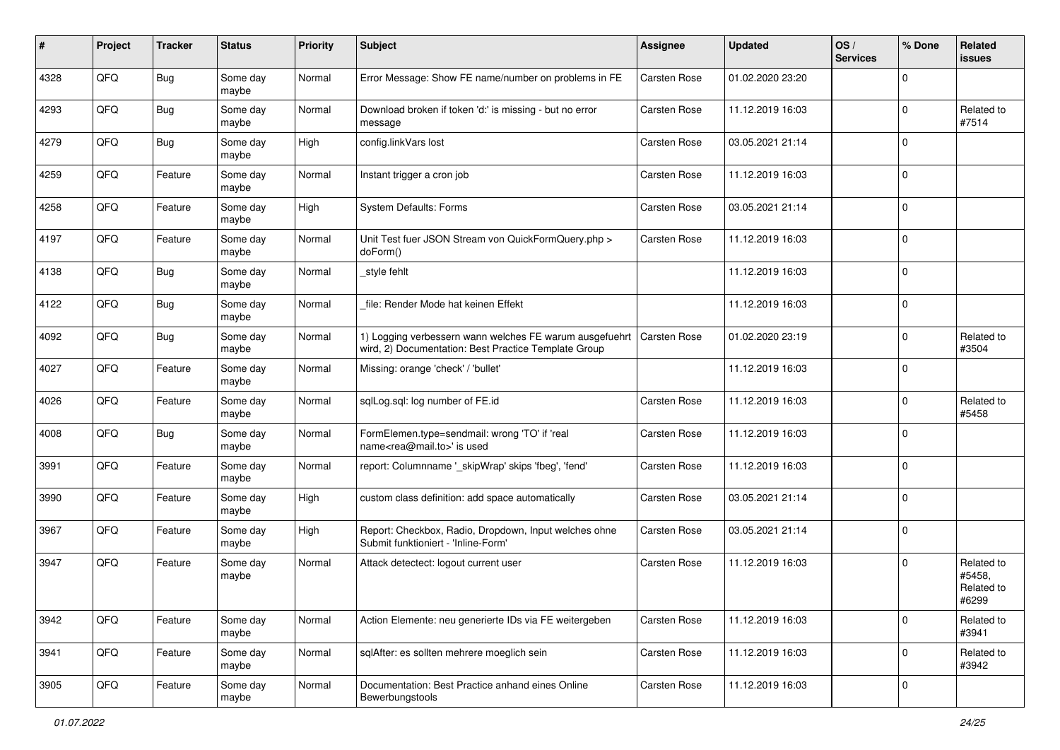| #    | Project | <b>Tracker</b> | <b>Status</b>     | <b>Priority</b> | Subject                                                                                                         | <b>Assignee</b>     | <b>Updated</b>   | OS/<br><b>Services</b> | % Done       | Related<br><b>issues</b>                    |
|------|---------|----------------|-------------------|-----------------|-----------------------------------------------------------------------------------------------------------------|---------------------|------------------|------------------------|--------------|---------------------------------------------|
| 4328 | QFQ     | Bug            | Some day<br>maybe | Normal          | Error Message: Show FE name/number on problems in FE                                                            | Carsten Rose        | 01.02.2020 23:20 |                        | $\mathbf 0$  |                                             |
| 4293 | QFQ     | Bug            | Some day<br>maybe | Normal          | Download broken if token 'd:' is missing - but no error<br>message                                              | Carsten Rose        | 11.12.2019 16:03 |                        | $\mathbf 0$  | Related to<br>#7514                         |
| 4279 | QFQ     | Bug            | Some day<br>maybe | High            | config.linkVars lost                                                                                            | Carsten Rose        | 03.05.2021 21:14 |                        | $\mathbf 0$  |                                             |
| 4259 | QFQ     | Feature        | Some day<br>maybe | Normal          | Instant trigger a cron job                                                                                      | Carsten Rose        | 11.12.2019 16:03 |                        | $\mathbf 0$  |                                             |
| 4258 | QFQ     | Feature        | Some day<br>maybe | High            | System Defaults: Forms                                                                                          | Carsten Rose        | 03.05.2021 21:14 |                        | $\mathbf{0}$ |                                             |
| 4197 | QFQ     | Feature        | Some day<br>maybe | Normal          | Unit Test fuer JSON Stream von QuickFormQuery.php ><br>doForm()                                                 | Carsten Rose        | 11.12.2019 16:03 |                        | $\mathbf 0$  |                                             |
| 4138 | QFQ     | Bug            | Some day<br>maybe | Normal          | _style fehlt                                                                                                    |                     | 11.12.2019 16:03 |                        | $\pmb{0}$    |                                             |
| 4122 | QFQ     | Bug            | Some day<br>maybe | Normal          | file: Render Mode hat keinen Effekt                                                                             |                     | 11.12.2019 16:03 |                        | $\mathbf 0$  |                                             |
| 4092 | QFQ     | Bug            | Some day<br>maybe | Normal          | 1) Logging verbessern wann welches FE warum ausgefuehrt<br>wird, 2) Documentation: Best Practice Template Group | <b>Carsten Rose</b> | 01.02.2020 23:19 |                        | $\mathbf 0$  | Related to<br>#3504                         |
| 4027 | QFQ     | Feature        | Some day<br>maybe | Normal          | Missing: orange 'check' / 'bullet'                                                                              |                     | 11.12.2019 16:03 |                        | $\mathbf 0$  |                                             |
| 4026 | QFQ     | Feature        | Some day<br>maybe | Normal          | sqlLog.sql: log number of FE.id                                                                                 | Carsten Rose        | 11.12.2019 16:03 |                        | $\mathbf 0$  | Related to<br>#5458                         |
| 4008 | QFQ     | Bug            | Some day<br>maybe | Normal          | FormElemen.type=sendmail: wrong 'TO' if 'real<br>name <rea@mail.to>' is used</rea@mail.to>                      | Carsten Rose        | 11.12.2019 16:03 |                        | $\mathbf 0$  |                                             |
| 3991 | QFQ     | Feature        | Some day<br>maybe | Normal          | report: Columnname '_skipWrap' skips 'fbeg', 'fend'                                                             | Carsten Rose        | 11.12.2019 16:03 |                        | $\mathbf{0}$ |                                             |
| 3990 | QFQ     | Feature        | Some day<br>maybe | High            | custom class definition: add space automatically                                                                | Carsten Rose        | 03.05.2021 21:14 |                        | $\pmb{0}$    |                                             |
| 3967 | QFQ     | Feature        | Some day<br>maybe | High            | Report: Checkbox, Radio, Dropdown, Input welches ohne<br>Submit funktioniert - 'Inline-Form'                    | Carsten Rose        | 03.05.2021 21:14 |                        | $\mathbf 0$  |                                             |
| 3947 | QFQ     | Feature        | Some day<br>maybe | Normal          | Attack detectect: logout current user                                                                           | <b>Carsten Rose</b> | 11.12.2019 16:03 |                        | $\mathbf{0}$ | Related to<br>#5458,<br>Related to<br>#6299 |
| 3942 | QFQ     | Feature        | Some day<br>maybe | Normal          | Action Elemente: neu generierte IDs via FE weitergeben                                                          | Carsten Rose        | 11.12.2019 16:03 |                        | $\mathbf 0$  | Related to<br>#3941                         |
| 3941 | QFQ     | Feature        | Some day<br>maybe | Normal          | sqlAfter: es sollten mehrere moeglich sein                                                                      | Carsten Rose        | 11.12.2019 16:03 |                        | $\mathbf 0$  | Related to<br>#3942                         |
| 3905 | QFQ     | Feature        | Some day<br>maybe | Normal          | Documentation: Best Practice anhand eines Online<br>Bewerbungstools                                             | Carsten Rose        | 11.12.2019 16:03 |                        | $\mathbf 0$  |                                             |